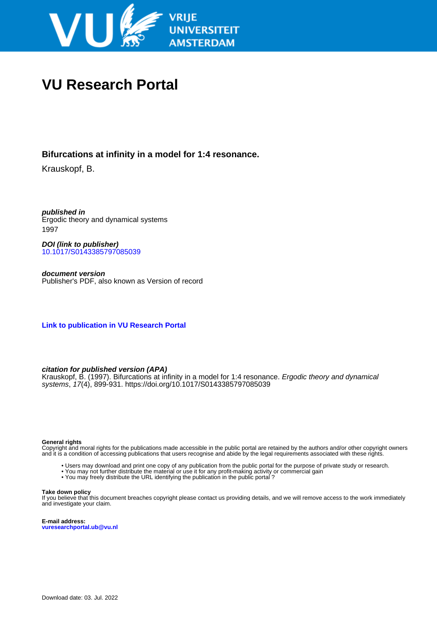

# **VU Research Portal**

# **Bifurcations at infinity in a model for 1:4 resonance.**

Krauskopf, B.

**published in** Ergodic theory and dynamical systems 1997

**DOI (link to publisher)** [10.1017/S0143385797085039](https://doi.org/10.1017/S0143385797085039)

**document version** Publisher's PDF, also known as Version of record

**[Link to publication in VU Research Portal](https://research.vu.nl/en/publications/d308bca6-9e3a-4d8e-ada7-35c9fa02f308)**

# **citation for published version (APA)**

Krauskopf, B. (1997). Bifurcations at infinity in a model for 1:4 resonance. *Ergodic theory and dynamical* systems, 17(4), 899-931.<https://doi.org/10.1017/S0143385797085039>

#### **General rights**

Copyright and moral rights for the publications made accessible in the public portal are retained by the authors and/or other copyright owners and it is a condition of accessing publications that users recognise and abide by the legal requirements associated with these rights.

- Users may download and print one copy of any publication from the public portal for the purpose of private study or research.
- You may not further distribute the material or use it for any profit-making activity or commercial gain
- You may freely distribute the URL identifying the publication in the public portal ?

#### **Take down policy**

If you believe that this document breaches copyright please contact us providing details, and we will remove access to the work immediately and investigate your claim.

**E-mail address: vuresearchportal.ub@vu.nl**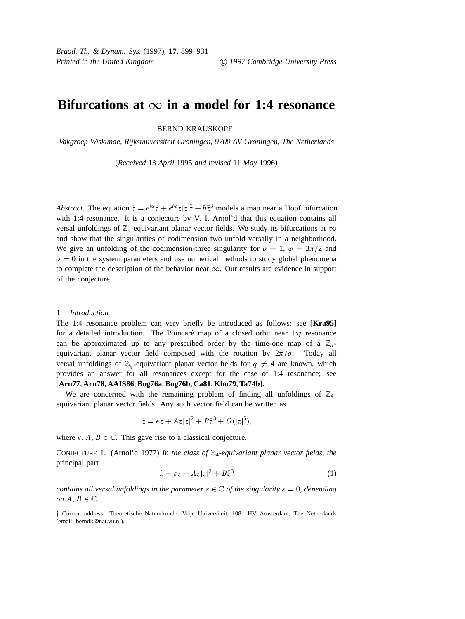# **Bifurcations at**  $\infty$  in a model for 1:4 resonance

# BERND KRAUSKOPF†

*Vakgroep Wiskunde, Rijksuniversiteit Groningen, 9700 AV Groningen, The Netherlands*

(*Received* 13 *April* 1995 *and revised* 11 *May* 1996)

*Abstract*. The equation  $\dot{z} = e^{i\alpha}z + e^{i\varphi}z|z|^2 + b\bar{z}^3$  models a map near a Hopf bifurcation with 1:4 resonance. It is a conjecture by V. I. Arnol'd that this equation contains all versal unfoldings of  $\mathbb{Z}_4$ -equivariant planar vector fields. We study its bifurcations at  $\infty$ and show that the singularities of codimension two unfold versally in a neighborhood. We give an unfolding of the codimension-three singularity for  $b = 1$ ,  $\varphi = 3\pi/2$  and  $\alpha = 0$  in the system parameters and use numerical methods to study global phenomena to complete the description of the behavior near  $\infty$ . Our results are evidence in support of the conjecture.

#### 1. *Introduction*

The 1:4 resonance problem can very briefly be introduced as follows; see [**Kra95**] for a detailed introduction. The Poincaré map of a closed orbit near  $1:q$  resonance can be approximated up to any prescribed order by the time-one map of a  $\mathbb{Z}_q$ equivariant planar vector field composed with the rotation by  $2\pi/q$ . Today all versal unfoldings of  $\mathbb{Z}_q$ -equivariant planar vector fields for  $q \neq 4$  are known, which provides an answer for all resonances except for the case of 1:4 resonance; see [**Arn77**, **Arn78**, **AAIS86**,**Bog76a**,**Bog76b**, **Ca81**, **Kho79**,**Ta74b**].

We are concerned with the remaining problem of finding all unfoldings of  $\mathbb{Z}_4$ equivariant planar vector fields. Any such vector field can be written as

$$
\dot{z} = \epsilon z + Az|z|^2 + B\overline{z}^3 + O(|z|^5),
$$

where  $\epsilon$ ,  $A, B \in \mathbb{C}$ . This gave rise to a classical conjecture.

CONJECTURE 1. (Arnol'd 1977) *In the class of* Z4*-equivariant planar vector fields, the* principal part

$$
\dot{z} = \varepsilon z + Az|z|^2 + B\overline{z}^3 \tag{1}
$$

*contains all versal unfoldings in the parameter*  $\varepsilon \in \mathbb{C}$  *of the singularity*  $\varepsilon = 0$ *, depending on*  $A, B \in \mathbb{C}$ *.* 

† Current address: Theoretische Natuurkunde, Vrije Universiteit, 1081 HV Amsterdam, The Netherlands (email: berndk@nat.vu.nl).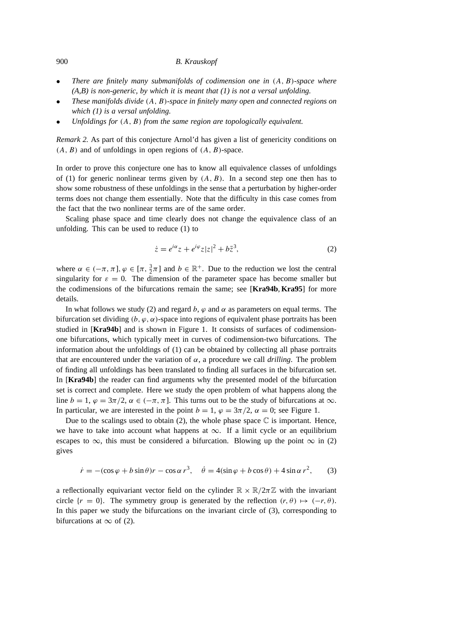- *There are finitely many submanifolds of codimension one in* (A, B)*-space where (A,B) is non-generic, by which it is meant that (1) is not a versal unfolding.*
- *These manifolds divide* (A, B)*-space in finitely many open and connected regions on which (1) is a versal unfolding.*
- *Unfoldings for* (A, B) *from the same region are topologically equivalent.*

*Remark 2.* As part of this conjecture Arnol'd has given a list of genericity conditions on  $(A, B)$  and of unfoldings in open regions of  $(A, B)$ -space.

In order to prove this conjecture one has to know all equivalence classes of unfoldings of (1) for generic nonlinear terms given by  $(A, B)$ . In a second step one then has to show some robustness of these unfoldings in the sense that a perturbation by higher-order terms does not change them essentially. Note that the difficulty in this case comes from the fact that the two nonlinear terms are of the same order.

Scaling phase space and time clearly does not change the equivalence class of an unfolding. This can be used to reduce (1) to

$$
\dot{z} = e^{i\alpha} z + e^{i\varphi} z |z|^2 + b\overline{z}^3,\tag{2}
$$

where  $\alpha \in (-\pi, \pi], \varphi \in [\pi, \frac{3}{2}\pi]$  and  $b \in \mathbb{R}^+$ . Due to the reduction we lost the central singularity for  $\varepsilon = 0$ . The dimension of the parameter space has become smaller but the codimensions of the bifurcations remain the same; see [**Kra94b**, **Kra95**] for more details.

In what follows we study (2) and regard b,  $\varphi$  and  $\alpha$  as parameters on equal terms. The bifurcation set dividing  $(b, \varphi, \alpha)$ -space into regions of equivalent phase portraits has been studied in [**Kra94b**] and is shown in Figure 1. It consists of surfaces of codimensionone bifurcations, which typically meet in curves of codimension-two bifurcations. The information about the unfoldings of (1) can be obtained by collecting all phase portraits that are encountered under the variation of  $\alpha$ , a procedure we call *drilling*. The problem of finding all unfoldings has been translated to finding all surfaces in the bifurcation set. In [**Kra94b**] the reader can find arguments why the presented model of the bifurcation set is correct and complete. Here we study the open problem of what happens along the line  $b = 1$ ,  $\varphi = 3\pi/2$ ,  $\alpha \in (-\pi, \pi]$ . This turns out to be the study of bifurcations at  $\infty$ . In particular, we are interested in the point  $b = 1$ ,  $\varphi = 3\pi/2$ ,  $\alpha = 0$ ; see Figure 1.

Due to the scalings used to obtain  $(2)$ , the whole phase space  $\mathbb C$  is important. Hence, we have to take into account what happens at  $\infty$ . If a limit cycle or an equilibrium escapes to  $\infty$ , this must be considered a bifurcation. Blowing up the point  $\infty$  in (2) gives

$$
\dot{r} = -(\cos\varphi + b\sin\theta)r - \cos\alpha r^3, \quad \dot{\theta} = 4(\sin\varphi + b\cos\theta) + 4\sin\alpha r^2, \tag{3}
$$

a reflectionally equivariant vector field on the cylinder  $\mathbb{R} \times \mathbb{R}/2\pi\mathbb{Z}$  with the invariant circle  $\{r = 0\}$ . The symmetry group is generated by the reflection  $(r, \theta) \mapsto (-r, \theta)$ . In this paper we study the bifurcations on the invariant circle of (3), corresponding to bifurcations at  $\infty$  of (2).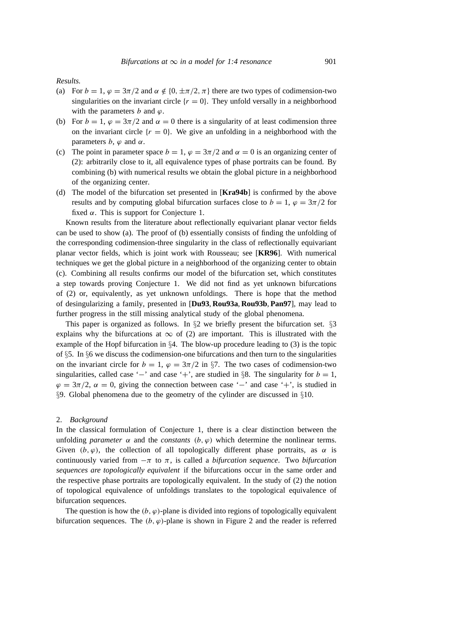## *Results.*

- (a) For  $b = 1$ ,  $\varphi = 3\pi/2$  and  $\alpha \notin \{0, \pm \pi/2, \pi\}$  there are two types of codimension-two singularities on the invariant circle  $\{r = 0\}$ . They unfold versally in a neighborhood with the parameters b and  $\varphi$ .
- (b) For  $b = 1$ ,  $\varphi = 3\pi/2$  and  $\alpha = 0$  there is a singularity of at least codimension three on the invariant circle  $\{r = 0\}$ . We give an unfolding in a neighborhood with the parameters  $b, \varphi$  and  $\alpha$ .
- (c) The point in parameter space  $b = 1$ ,  $\varphi = 3\pi/2$  and  $\alpha = 0$  is an organizing center of (2): arbitrarily close to it, all equivalence types of phase portraits can be found. By combining (b) with numerical results we obtain the global picture in a neighborhood of the organizing center.
- (d) The model of the bifurcation set presented in [**Kra94b**] is confirmed by the above results and by computing global bifurcation surfaces close to  $b = 1$ ,  $\varphi = 3\pi/2$  for fixed  $\alpha$ . This is support for Conjecture 1.

Known results from the literature about reflectionally equivariant planar vector fields can be used to show (a). The proof of (b) essentially consists of finding the unfolding of the corresponding codimension-three singularity in the class of reflectionally equivariant planar vector fields, which is joint work with Rousseau; see [**KR96**]. With numerical techniques we get the global picture in a neighborhood of the organizing center to obtain (c). Combining all results confirms our model of the bifurcation set, which constitutes a step towards proving Conjecture 1. We did not find as yet unknown bifurcations of (2) or, equivalently, as yet unknown unfoldings. There is hope that the method of desingularizing a family, presented in [**Du93**, **Rou93a**, **Rou93b**, **Pan97**], may lead to further progress in the still missing analytical study of the global phenomena.

This paper is organized as follows. In  $\S$ 2 we briefly present the bifurcation set.  $\S$ 3 explains why the bifurcations at  $\infty$  of (2) are important. This is illustrated with the example of the Hopf bifurcation in §4. The blow-up procedure leading to (3) is the topic of §5. In §6 we discuss the codimension-one bifurcations and then turn to the singularities on the invariant circle for  $b = 1$ ,  $\varphi = 3\pi/2$  in §7. The two cases of codimension-two singularities, called case '−' and case '+', are studied in §8. The singularity for  $b = 1$ ,  $\varphi = 3\pi/2$ ,  $\alpha = 0$ , giving the connection between case '–' and case '+', is studied in §9. Global phenomena due to the geometry of the cylinder are discussed in §10.

#### 2. *Background*

In the classical formulation of Conjecture 1, there is a clear distinction between the unfolding *parameter*  $\alpha$  and the *constants*  $(b, \varphi)$  which determine the nonlinear terms. Given  $(b, \varphi)$ , the collection of all topologically different phase portraits, as  $\alpha$  is continuously varied from  $-\pi$  to  $\pi$ , is called a *bifurcation sequence*. Two *bifurcation sequences are topologically equivalent* if the bifurcations occur in the same order and the respective phase portraits are topologically equivalent. In the study of (2) the notion of topological equivalence of unfoldings translates to the topological equivalence of bifurcation sequences.

The question is how the  $(b, \varphi)$ -plane is divided into regions of topologically equivalent bifurcation sequences. The  $(b, \varphi)$ -plane is shown in Figure 2 and the reader is referred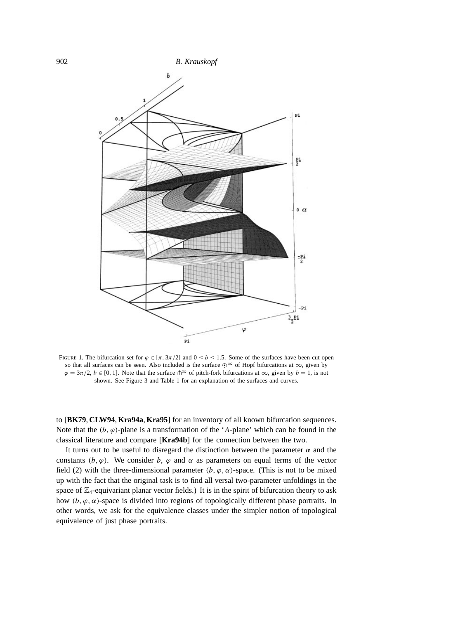

FIGURE 1. The bifurcation set for  $\varphi \in [\pi, 3\pi/2]$  and  $0 \le b \le 1.5$ . Some of the surfaces have been cut open so that all surfaces can be seen. Also included is the surface  $\odot^{\infty}$  of Hopf bifurcations at  $\infty$ , given by  $\varphi = 3\pi/2$ ,  $b \in [0, 1]$ . Note that the surface  $\hat{\theta}^{\infty}$  of pitch-fork bifurcations at  $\infty$ , given by  $b = 1$ , is not shown. See Figure 3 and Table 1 for an explanation of the surfaces and curves.

to [**BK79**, **CLW94**, **Kra94a**, **Kra95**] for an inventory of all known bifurcation sequences. Note that the  $(b, \varphi)$ -plane is a transformation of the 'A-plane' which can be found in the classical literature and compare [**Kra94b**] for the connection between the two.

It turns out to be useful to disregard the distinction between the parameter  $\alpha$  and the constants  $(b, \varphi)$ . We consider b,  $\varphi$  and  $\alpha$  as parameters on equal terms of the vector field (2) with the three-dimensional parameter  $(b, \varphi, \alpha)$ -space. (This is not to be mixed up with the fact that the original task is to find all versal two-parameter unfoldings in the space of  $\mathbb{Z}_4$ -equivariant planar vector fields.) It is in the spirit of bifurcation theory to ask how  $(b, \varphi, \alpha)$ -space is divided into regions of topologically different phase portraits. In other words, we ask for the equivalence classes under the simpler notion of topological equivalence of just phase portraits.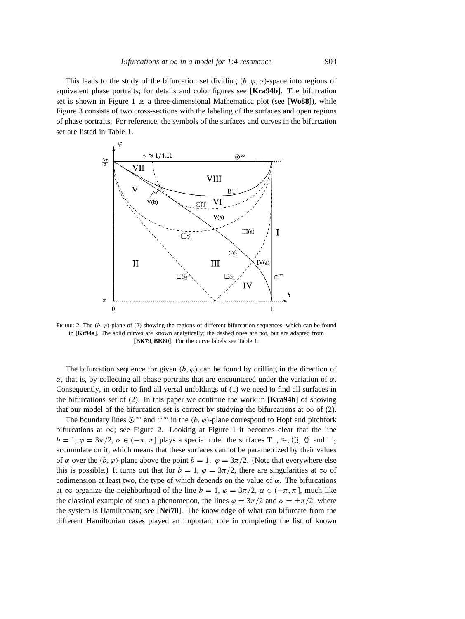This leads to the study of the bifurcation set dividing  $(b, \varphi, \alpha)$ -space into regions of equivalent phase portraits; for details and color figures see [**Kra94b**]. The bifurcation set is shown in Figure 1 as a three-dimensional Mathematica plot (see [**Wo88**]), while Figure 3 consists of two cross-sections with the labeling of the surfaces and open regions of phase portraits. For reference, the symbols of the surfaces and curves in the bifurcation set are listed in Table 1.



FIGURE 2. The  $(b, \varphi)$ -plane of (2) showing the regions of different bifurcation sequences, which can be found in [**Kr94a**]. The solid curves are known analytically; the dashed ones are not, but are adapted from [**BK79**,**BK80**]. For the curve labels see Table 1.

The bifurcation sequence for given  $(b, \varphi)$  can be found by drilling in the direction of  $\alpha$ , that is, by collecting all phase portraits that are encountered under the variation of  $\alpha$ . Consequently, in order to find all versal unfoldings of (1) we need to find all surfaces in the bifurcations set of (2). In this paper we continue the work in [**Kra94b**] of showing that our model of the bifurcation set is correct by studying the bifurcations at  $\infty$  of (2).

The boundary lines  $\odot^{\infty}$  and  $\uparrow^{\infty}$  in the  $(b, \varphi)$ -plane correspond to Hopf and pitchfork bifurcations at ∞; see Figure 2. Looking at Figure 1 it becomes clear that the line  $b = 1, \varphi = 3\pi/2, \alpha \in (-\pi, \pi]$  plays a special role: the surfaces  $T_+, \varphi, \varnothing, \varnothing$  and  $\square_1$ accumulate on it, which means that these surfaces cannot be parametrized by their values of  $\alpha$  over the  $(b, \varphi)$ -plane above the point  $b = 1$ ,  $\varphi = 3\pi/2$ . (Note that everywhere else this is possible.) It turns out that for  $b = 1$ ,  $\varphi = 3\pi/2$ , there are singularities at  $\infty$  of codimension at least two, the type of which depends on the value of  $\alpha$ . The bifurcations at  $\infty$  organize the neighborhood of the line  $b = 1$ ,  $\varphi = 3\pi/2$ ,  $\alpha \in (-\pi, \pi]$ , much like the classical example of such a phenomenon, the lines  $\varphi = 3\pi/2$  and  $\alpha = \pm \pi/2$ , where the system is Hamiltonian; see [**Nei78**]. The knowledge of what can bifurcate from the different Hamiltonian cases played an important role in completing the list of known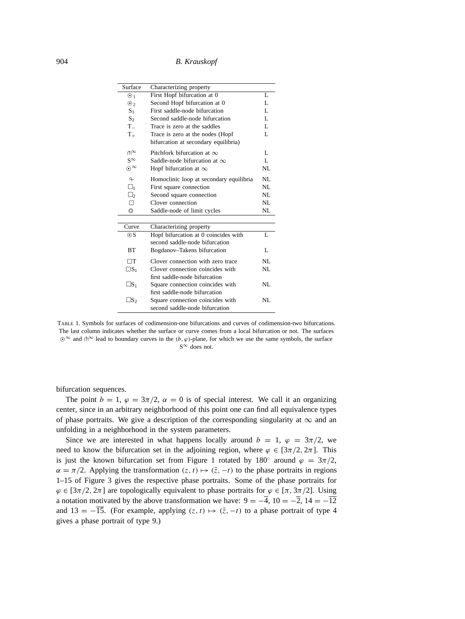904 *B. Krauskopf*

| Surface           | Characterizing property                 |    |
|-------------------|-----------------------------------------|----|
| $\odot$ 1         | First Hopf bifurcation at 0             | L  |
| $\odot$           | Second Hopf bifurcation at 0            | L  |
| S <sub>1</sub>    | First saddle-node bifurcation           | L  |
| $S_2$             | Second saddle-node bifurcation          | L  |
| $T_{-}$           | Trace is zero at the saddles            | L  |
| $T_{+}$           | Trace is zero at the nodes (Hopf        | L  |
|                   | bifurcation at secondary equilibria)    |    |
| $\Uparrow^\infty$ | Pitchfork bifurcation at $\infty$       | L  |
| $S^{\infty}$      | Saddle-node bifurcation at $\infty$     | L  |
| $\odot^{\infty}$  | Hopf bifurcation at $\infty$            | NL |
| $\overline{P}$    | Homoclinic loop at secondary equilibria | NL |
| $\square_1$       | First square connection                 | NL |
| $\square_2$       | Second square connection                | NL |
| $\varnothing$     | Clover connection                       | NL |
| $\circledcirc$    | Saddle-node of limit cycles             | NL |
|                   |                                         |    |
| Curve             | Characterizing property                 |    |
| $\odot$ S         | Hopf bifurcation at 0 coincides with    | L  |
|                   | second saddle-node bifurcation          |    |
| <b>BT</b>         | Bogdanov-Takens bifurcation             | L  |
| $\Box T$          | Clover connection with zero trace       | NL |
| $\mathbb{CS}_1$   | Clover connection coincides with        | NL |
|                   | first saddle-node bifurcation           |    |
| $\Box S_1$        | Square connection coincides with        | NL |
|                   | first saddle-node bifurcation           |    |
| $\Box S_2$        | Square connection coincides with        | NL |
|                   | second saddle-node bifurcation          |    |

TABLE 1. Symbols for surfaces of codimension-one bifurcations and curves of codimension-two bifurcations. The last column indicates whether the surface or curve comes from a local bifurcation or not. The surfaces  $\odot^{\infty}$  and  $\uparrow^{\infty}$  lead to boundary curves in the  $(b, \varphi)$ -plane, for which we use the same symbols, the surface S<sup>∞</sup> does not.

bifurcation sequences.

The point  $b = 1$ ,  $\varphi = 3\pi/2$ ,  $\alpha = 0$  is of special interest. We call it an organizing center, since in an arbitrary neighborhood of this point one can find all equivalence types of phase portraits. We give a description of the corresponding singularity at  $\infty$  and an unfolding in a neighborhood in the system parameters.

Since we are interested in what happens locally around  $b = 1$ ,  $\varphi = 3\pi/2$ , we need to know the bifurcation set in the adjoining region, where  $\varphi \in [3\pi/2, 2\pi]$ . This is just the known bifurcation set from Figure 1 rotated by 180 $\degree$  around  $\varphi = 3\pi/2$ ,  $\alpha = \pi/2$ . Applying the transformation  $(z, t) \mapsto (\bar{z}, -t)$  to the phase portraits in regions 1–15 of Figure 3 gives the respective phase portraits. Some of the phase portraits for  $\varphi \in [3\pi/2, 2\pi]$  are topologically equivalent to phase portraits for  $\varphi \in [\pi, 3\pi/2]$ . Using a notation motivated by the above transformation we have:  $9 = -4$ ,  $10 = -2$ ,  $14 = -12$ and 13 =  $-\overline{15}$ . (For example, applying  $(z, t) \mapsto (\overline{z}, -t)$  to a phase portrait of type 4 gives a phase portrait of type 9.)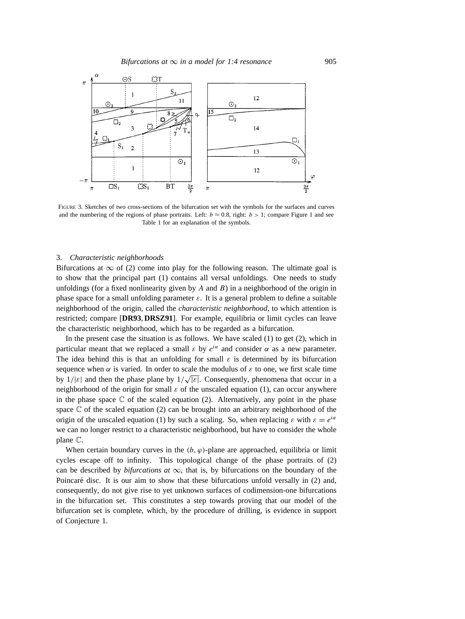

FIGURE 3. Sketches of two cross-sections of the bifurcation set with the symbols for the surfaces and curves and the numbering of the regions of phase portraits. Left:  $b \approx 0.8$ , right:  $b > 1$ ; compare Figure 1 and see Table 1 for an explanation of the symbols.

#### 3. *Characteristic neighborhoods*

Bifurcations at  $\infty$  of (2) come into play for the following reason. The ultimate goal is to show that the principal part (1) contains all versal unfoldings. One needs to study unfoldings (for a fixed nonlinearity given by  $A$  and  $B$ ) in a neighborhood of the origin in phase space for a small unfolding parameter  $\varepsilon$ . It is a general problem to define a suitable neighborhood of the origin, called the *characteristic neighborhood*, to which attention is restricted; compare [**DR93**, **DRSZ91**]. For example, equilibria or limit cycles can leave the characteristic neighborhood, which has to be regarded as a bifurcation.

In the present case the situation is as follows. We have scaled  $(1)$  to get  $(2)$ , which in particular meant that we replaced a small  $\varepsilon$  by  $e^{i\alpha}$  and consider  $\alpha$  as a new parameter. The idea behind this is that an unfolding for small  $\varepsilon$  is determined by its bifurcation sequence when  $\alpha$  is varied. In order to scale the modulus of  $\varepsilon$  to one, we first scale time by  $1/|\varepsilon|$  and then the phase plane by  $1/\sqrt{|\varepsilon|}$ . Consequently, phenomena that occur in a neighborhood of the origin for small  $\varepsilon$  of the unscaled equation (1), can occur anywhere in the phase space  $\mathbb C$  of the scaled equation (2). Alternatively, any point in the phase space  $\mathbb C$  of the scaled equation (2) can be brought into an arbitrary neighborhood of the origin of the unscaled equation (1) by such a scaling. So, when replacing  $\varepsilon$  with  $\varepsilon = e^{i\alpha}$ we can no longer restrict to a characteristic neighborhood, but have to consider the whole plane C.

When certain boundary curves in the  $(b, \varphi)$ -plane are approached, equilibria or limit cycles escape off to infinity. This topological change of the phase portraits of (2) can be described by *bifurcations at*  $\infty$ , that is, by bifurcations on the boundary of the Poincaré disc. It is our aim to show that these bifurcations unfold versally in (2) and, consequently, do not give rise to yet unknown surfaces of codimension-one bifurcations in the bifurcation set. This constitutes a step towards proving that our model of the bifurcation set is complete, which, by the procedure of drilling, is evidence in support of Conjecture 1.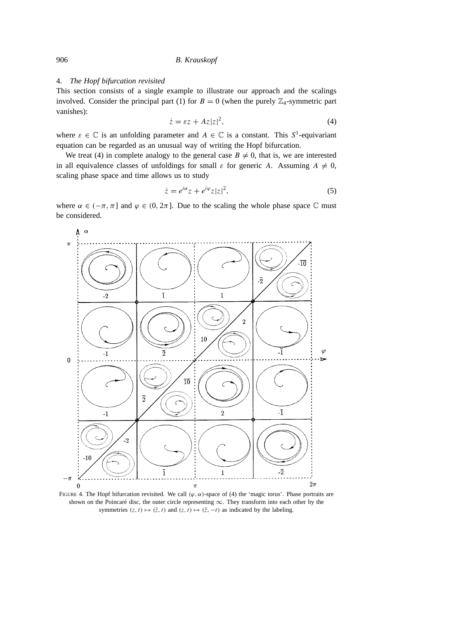#### 4. *The Hopf bifurcation revisited*

This section consists of a single example to illustrate our approach and the scalings involved. Consider the principal part (1) for  $B = 0$  (when the purely  $\mathbb{Z}_4$ -symmetric part vanishes):

$$
\dot{z} = \varepsilon z + Az|z|^2,\tag{4}
$$

where  $\varepsilon \in \mathbb{C}$  is an unfolding parameter and  $A \in \mathbb{C}$  is a constant. This  $S^1$ -equivariant equation can be regarded as an unusual way of writing the Hopf bifurcation.

We treat (4) in complete analogy to the general case  $B \neq 0$ , that is, we are interested in all equivalence classes of unfoldings for small  $\varepsilon$  for generic A. Assuming  $A \neq 0$ , scaling phase space and time allows us to study

$$
\dot{z} = e^{i\alpha} z + e^{i\varphi} z |z|^2,\tag{5}
$$

where  $\alpha \in (-\pi, \pi]$  and  $\varphi \in (0, 2\pi]$ . Due to the scaling the whole phase space  $\mathbb C$  must be considered.



FIGURE 4. The Hopf bifurcation revisited. We call  $(\varphi, \alpha)$ -space of (4) the 'magic torus'. Phase portraits are shown on the Poincaré disc, the outer circle representing  $\infty$ . They transform into each other by the symmetries  $(z, t) \mapsto (\bar{z}, t)$  and  $(z, t) \mapsto (\bar{z}, -t)$  as indicated by the labeling.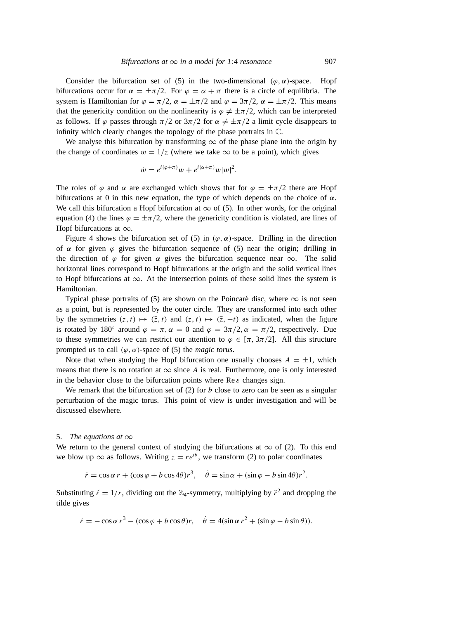Consider the bifurcation set of (5) in the two-dimensional  $(\varphi, \alpha)$ -space. Hopf bifurcations occur for  $\alpha = \pm \pi/2$ . For  $\varphi = \alpha + \pi$  there is a circle of equilibria. The system is Hamiltonian for  $\varphi = \pi/2$ ,  $\alpha = \pm \pi/2$  and  $\varphi = 3\pi/2$ ,  $\alpha = \pm \pi/2$ . This means that the genericity condition on the nonlinearity is  $\varphi \neq \pm \pi/2$ , which can be interpreted as follows. If  $\varphi$  passes through  $\pi/2$  or  $3\pi/2$  for  $\alpha \neq \pm \pi/2$  a limit cycle disappears to infinity which clearly changes the topology of the phase portraits in C.

We analyse this bifurcation by transforming  $\infty$  of the phase plane into the origin by the change of coordinates  $w = 1/z$  (where we take  $\infty$  to be a point), which gives

$$
\dot{w} = e^{i(\varphi + \pi)}w + e^{i(\alpha + \pi)}w|w|^2.
$$

The roles of  $\varphi$  and  $\alpha$  are exchanged which shows that for  $\varphi = \pm \pi/2$  there are Hopf bifurcations at 0 in this new equation, the type of which depends on the choice of  $\alpha$ . We call this bifurcation a Hopf bifurcation at  $\infty$  of (5). In other words, for the original equation (4) the lines  $\varphi = \pm \pi/2$ , where the genericity condition is violated, are lines of Hopf bifurcations at  $\infty$ .

Figure 4 shows the bifurcation set of (5) in  $(\varphi, \alpha)$ -space. Drilling in the direction of  $\alpha$  for given  $\varphi$  gives the bifurcation sequence of (5) near the origin; drilling in the direction of  $\varphi$  for given  $\alpha$  gives the bifurcation sequence near  $\infty$ . The solid horizontal lines correspond to Hopf bifurcations at the origin and the solid vertical lines to Hopf bifurcations at ∞. At the intersection points of these solid lines the system is Hamiltonian.

Typical phase portraits of (5) are shown on the Poincaré disc, where  $\infty$  is not seen as a point, but is represented by the outer circle. They are transformed into each other by the symmetries  $(z, t) \mapsto (\bar{z}, t)$  and  $(z, t) \mapsto (\bar{z}, -t)$  as indicated, when the figure is rotated by 180° around  $\varphi = \pi, \alpha = 0$  and  $\varphi = 3\pi/2, \alpha = \pi/2$ , respectively. Due to these symmetries we can restrict our attention to  $\varphi \in [\pi, 3\pi/2]$ . All this structure prompted us to call  $(\varphi, \alpha)$ -space of (5) the *magic torus*.

Note that when studying the Hopf bifurcation one usually chooses  $A = \pm 1$ , which means that there is no rotation at  $\infty$  since A is real. Furthermore, one is only interested in the behavior close to the bifurcation points where  $\text{Re } \varepsilon$  changes sign.

We remark that the bifurcation set of  $(2)$  for b close to zero can be seen as a singular perturbation of the magic torus. This point of view is under investigation and will be discussed elsewhere.

#### 5. *The equations at*  $\infty$

We return to the general context of studying the bifurcations at  $\infty$  of (2). To this end we blow up  $\infty$  as follows. Writing  $z = re^{i\theta}$ , we transform (2) to polar coordinates

$$
\dot{r} = \cos \alpha \, r + (\cos \varphi + b \cos 4\theta) r^3, \quad \dot{\theta} = \sin \alpha + (\sin \varphi - b \sin 4\theta) r^2.
$$

Substituting  $\tilde{r} = 1/r$ , dividing out the  $\mathbb{Z}_4$ -symmetry, multiplying by  $\tilde{r}^2$  and dropping the tilde gives

$$
\dot{r} = -\cos\alpha r^3 - (\cos\varphi + b\cos\theta)r, \quad \dot{\theta} = 4(\sin\alpha r^2 + (\sin\varphi - b\sin\theta)).
$$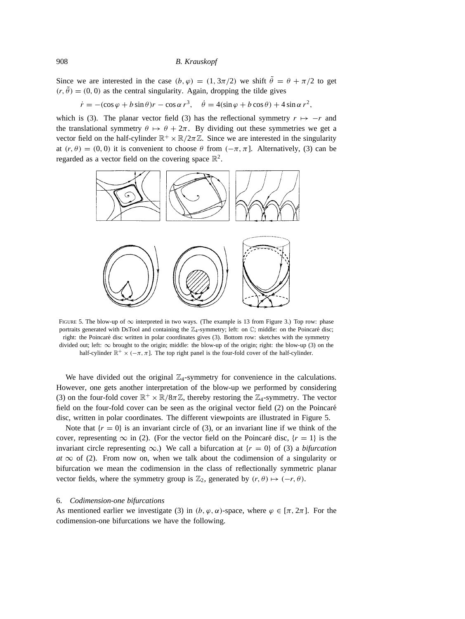Since we are interested in the case  $(b, \varphi) = (1, 3\pi/2)$  we shift  $\tilde{\theta} = \theta + \pi/2$  to get  $(r, \tilde{\theta}) = (0, 0)$  as the central singularity. Again, dropping the tilde gives

 $\dot{r} = -(\cos\varphi + b\sin\theta)r - \cos\alpha r^3$ ,  $\dot{\theta} = 4(\sin\varphi + b\cos\theta) + 4\sin\alpha r^2$ ,

which is (3). The planar vector field (3) has the reflectional symmetry  $r \mapsto -r$  and the translational symmetry  $\theta \mapsto \theta + 2\pi$ . By dividing out these symmetries we get a vector field on the half-cylinder  $\mathbb{R}^+ \times \mathbb{R}/2\pi\mathbb{Z}$ . Since we are interested in the singularity at  $(r, \theta) = (0, 0)$  it is convenient to choose  $\theta$  from  $(-\pi, \pi]$ . Alternatively, (3) can be regarded as a vector field on the covering space  $\mathbb{R}^2$ .



FIGURE 5. The blow-up of  $\infty$  interpreted in two ways. (The example is 13 from Figure 3.) Top row: phase portraits generated with DsTool and containing the  $\mathbb{Z}_4$ -symmetry; left: on  $\mathbb{C}$ ; middle: on the Poincaré disc; right: the Poincaré disc written in polar coordinates gives (3). Bottom row: sketches with the symmetry divided out; left:  $\infty$  brought to the origin; middle: the blow-up of the origin; right: the blow-up (3) on the half-cylinder  $\mathbb{R}^+ \times (-\pi, \pi]$ . The top right panel is the four-fold cover of the half-cylinder.

We have divided out the original  $\mathbb{Z}_4$ -symmetry for convenience in the calculations. However, one gets another interpretation of the blow-up we performed by considering (3) on the four-fold cover  $\mathbb{R}^+ \times \mathbb{R}/8\pi \mathbb{Z}$ , thereby restoring the  $\mathbb{Z}_4$ -symmetry. The vector field on the four-fold cover can be seen as the original vector field (2) on the Poincaré disc, written in polar coordinates. The different viewpoints are illustrated in Figure 5.

Note that  ${r = 0}$  is an invariant circle of (3), or an invariant line if we think of the cover, representing  $\infty$  in (2). (For the vector field on the Poincaré disc, {r = 1} is the invariant circle representing  $\infty$ .) We call a bifurcation at  $\{r = 0\}$  of (3) a *bifurcation*  $at \infty$  of (2). From now on, when we talk about the codimension of a singularity or bifurcation we mean the codimension in the class of reflectionally symmetric planar vector fields, where the symmetry group is  $\mathbb{Z}_2$ , generated by  $(r, \theta) \mapsto (-r, \theta)$ .

#### 6. *Codimension-one bifurcations*

As mentioned earlier we investigate (3) in  $(b, \varphi, \alpha)$ -space, where  $\varphi \in [\pi, 2\pi]$ . For the codimension-one bifurcations we have the following.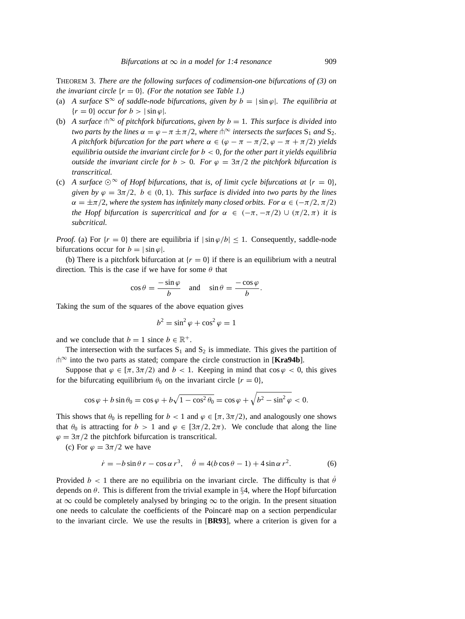THEOREM 3. *There are the following surfaces of codimension-one bifurcations of (3) on the invariant circle*  $\{r = 0\}$ *. (For the notation see Table 1.)* 

- (a) *A surface*  $S^{\infty}$  *of saddle-node bifurcations, given by*  $b = |\sin \varphi|$ *. The equilibria at*  ${r = 0}$  *occur for*  $b > |\sin \varphi|$ *.*
- (b) *A surface*  $\ln^{\infty}$  *of pitchfork bifurcations, given by*  $b = 1$ *. This surface is divided into two parts by the lines*  $\alpha = \varphi - \pi \pm \pi/2$ *, where*  $\theta^{\infty}$  *intersects the surfaces*  $S_1$  *and*  $S_2$ *. A pitchfork bifurcation for the part where*  $\alpha \in (\varphi - \pi - \pi/2, \varphi - \pi + \pi/2)$  *yields equilibria outside the invariant circle for* b < 0*, for the other part it yields equilibria outside the invariant circle for*  $b > 0$ *. For*  $\varphi = 3\pi/2$  *the pitchfork bifurcation is transcritical.*
- (c) *A surface*  $\odot^{\infty}$  *of Hopf bifurcations, that is, of limit cycle bifurcations at*  $\{r = 0\}$ *, given by*  $\varphi = 3\pi/2$ ,  $b \in (0, 1)$ *. This surface is divided into two parts by the lines*  $\alpha = \pm \pi/2$ , where the system has infinitely many closed orbits. For  $\alpha \in (-\pi/2, \pi/2)$ *the Hopf bifurcation is supercritical and for*  $\alpha \in (-\pi, -\pi/2) \cup (\pi/2, \pi)$  *it is subcritical.*

*Proof.* (a) For  $\{r = 0\}$  there are equilibria if  $|\sin \varphi/b| \leq 1$ . Consequently, saddle-node bifurcations occur for  $b = |\sin \varphi|$ .

(b) There is a pitchfork bifurcation at  ${r = 0}$  if there is an equilibrium with a neutral direction. This is the case if we have for some  $\theta$  that

$$
\cos \theta = \frac{-\sin \varphi}{b}
$$
 and  $\sin \theta = \frac{-\cos \varphi}{b}$ .

Taking the sum of the squares of the above equation gives

$$
b^2 = \sin^2 \varphi + \cos^2 \varphi = 1
$$

and we conclude that  $b = 1$  since  $b \in \mathbb{R}^+$ .

The intersection with the surfaces  $S_1$  and  $S_2$  is immediate. This gives the partition of t<sup>∞</sup> into the two parts as stated; compare the circle construction in [**Kra94b**].

Suppose that  $\varphi \in [\pi, 3\pi/2)$  and  $b < 1$ . Keeping in mind that  $\cos \varphi < 0$ , this gives for the bifurcating equilibrium  $\theta_0$  on the invariant circle  $\{r = 0\}$ ,

$$
\cos\varphi + b\sin\theta_0 = \cos\varphi + b\sqrt{1-\cos^2\theta_0} = \cos\varphi + \sqrt{b^2 - \sin^2\varphi} < 0.
$$

This shows that  $\theta_0$  is repelling for  $b < 1$  and  $\varphi \in [\pi, 3\pi/2)$ , and analogously one shows that  $\theta_0$  is attracting for  $b > 1$  and  $\varphi \in [3\pi/2, 2\pi)$ . We conclude that along the line  $\varphi = 3\pi/2$  the pitchfork bifurcation is transcritical.

(c) For  $\varphi = 3\pi/2$  we have

$$
\dot{r} = -b\sin\theta\,r - \cos\alpha\,r^3, \quad \dot{\theta} = 4(b\cos\theta - 1) + 4\sin\alpha\,r^2. \tag{6}
$$

Provided  $b < 1$  there are no equilibria on the invariant circle. The difficulty is that  $\hat{\theta}$ depends on  $\theta$ . This is different from the trivial example in §4, where the Hopf bifurcation at  $\infty$  could be completely analysed by bringing  $\infty$  to the origin. In the present situation one needs to calculate the coefficients of the Poincare map on a section perpendicular ´ to the invariant circle. We use the results in [**BR93**], where a criterion is given for a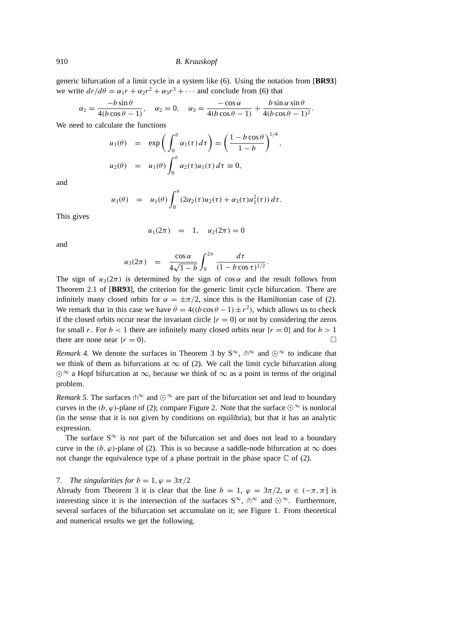generic bifurcation of a limit cycle in a system like (6). Using the notation from [**BR93**] we write  $dr/d\theta = \alpha_1 r + \alpha_2 r^2 + \alpha_3 r^3 + \cdots$  and conclude from (6) that

$$
\alpha_1 = \frac{-b\sin\theta}{4(b\cos\theta - 1)}, \quad \alpha_2 = 0, \quad \alpha_3 = \frac{-\cos\alpha}{4(b\cos\theta - 1)} + \frac{b\sin\alpha\sin\theta}{4(b\cos\theta - 1)^2}.
$$

We need to calculate the functions

$$
u_1(\theta) = \exp\left(\int_0^{\theta} \alpha_1(\tau) d\tau\right) = \left(\frac{1 - b \cos \theta}{1 - b}\right)^{1/4}
$$
  

$$
u_2(\theta) = u_1(\theta) \int_0^{\theta} \alpha_2(\tau) u_1(\tau) d\tau \equiv 0,
$$

,

and

$$
u_3(\theta) = u_1(\theta) \int_0^{\theta} (2\alpha_2(\tau)u_2(\tau) + \alpha_3(\tau)u_1^2(\tau)) d\tau.
$$

This gives

$$
u_1(2\pi) = 1, \quad u_2(2\pi) = 0
$$

and

$$
u_3(2\pi) = \frac{\cos \alpha}{4\sqrt{1-b}} \int_0^{2\pi} \frac{d\tau}{(1-b\cos \tau)^{1/2}}.
$$

The sign of  $u_3(2\pi)$  is determined by the sign of  $\cos \alpha$  and the result follows from Theorem 2.1 of [**BR93**], the criterion for the generic limit cycle bifurcation. There are infinitely many closed orbits for  $\alpha = \pm \pi/2$ , since this is the Hamiltonian case of (2). We remark that in this case we have  $\dot{\theta} = 4((b \cos \theta - 1) \pm r^2)$ , which allows us to check if the closed orbits occur near the invariant circle  $\{r = 0\}$  or not by considering the zeros for small r. For  $b < 1$  there are infinitely many closed orbits near  $\{r = 0\}$  and for  $b > 1$ there are none near  $\{r = 0\}$ .

*Remark 4.* We denote the surfaces in Theorem 3 by  $S^{\infty}$ ,  $\phi^{\infty}$  and  $\odot^{\infty}$  to indicate that we think of them as bifurcations at  $\infty$  of (2). We call the limit cycle bifurcation along  $\degree$  a Hopf bifurcation at  $\infty$ , because we think of  $\infty$  as a point in terms of the original problem.

*Remark 5.* The surfaces  $\uparrow \infty$  and  $\odot \infty$  are part of the bifurcation set and lead to boundary curves in the (b,  $\varphi$ )-plane of (2); compare Figure 2. Note that the surface  $\odot^{\infty}$  is nonlocal (in the sense that it is not given by conditions on equilibria), but that it has an analytic expression.

The surface  $S^{\infty}$  is *not* part of the bifurcation set and does not lead to a boundary curve in the (b,  $\varphi$ )-plane of (2). This is so because a saddle-node bifurcation at  $\infty$  does not change the equivalence type of a phase portrait in the phase space  $\mathbb C$  of (2).

## 7. *The singularities for*  $b = 1$ ,  $\varphi = 3\pi/2$

Already from Theorem 3 it is clear that the line  $b = 1$ ,  $\varphi = 3\pi/2$ ,  $\alpha \in (-\pi, \pi]$  is interesting since it is the intersection of the surfaces  $S^{\infty}$ ,  $\mathbb{h}^{\infty}$  and  $\odot^{\infty}$ . Furthermore, several surfaces of the bifurcation set accumulate on it; see Figure 1. From theoretical and numerical results we get the following.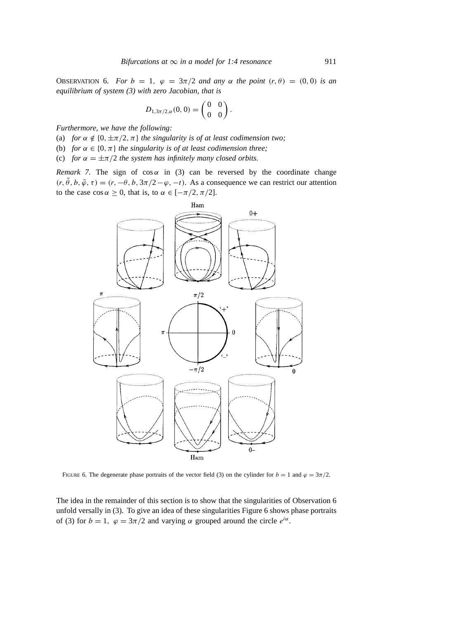OBSERVATION 6. *For*  $b = 1$ ,  $\varphi = 3\pi/2$  *and any*  $\alpha$  *the point*  $(r, \theta) = (0, 0)$  *is an equilibrium of system (3) with zero Jacobian, that is*

$$
D_{1,3\pi/2,\alpha}(0,0) = \begin{pmatrix} 0 & 0 \\ 0 & 0 \end{pmatrix}.
$$

*Furthermore, we have the following:*

- (a) *for*  $\alpha \notin \{0, \pm \pi/2, \pi\}$  *the singularity is of at least codimension two;*
- (b) *for*  $\alpha \in \{0, \pi\}$  *the singularity is of at least codimension three;*
- (c) *for*  $\alpha = \pm \pi/2$  *the system has infinitely many closed orbits.*

*Remark 7.* The sign of  $cos \alpha$  in (3) can be reversed by the coordinate change  $(r, \tilde{\theta}, b, \tilde{\varphi}, \tau) = (r, -\theta, b, 3\pi/2 - \varphi, -t)$ . As a consequence we can restrict our attention to the case  $\cos \alpha \ge 0$ , that is, to  $\alpha \in [-\pi/2, \pi/2]$ .



FIGURE 6. The degenerate phase portraits of the vector field (3) on the cylinder for  $b = 1$  and  $\varphi = 3\pi/2$ .

The idea in the remainder of this section is to show that the singularities of Observation 6 unfold versally in (3). To give an idea of these singularities Figure 6 shows phase portraits of (3) for  $b = 1$ ,  $\varphi = 3\pi/2$  and varying  $\alpha$  grouped around the circle  $e^{i\alpha}$ .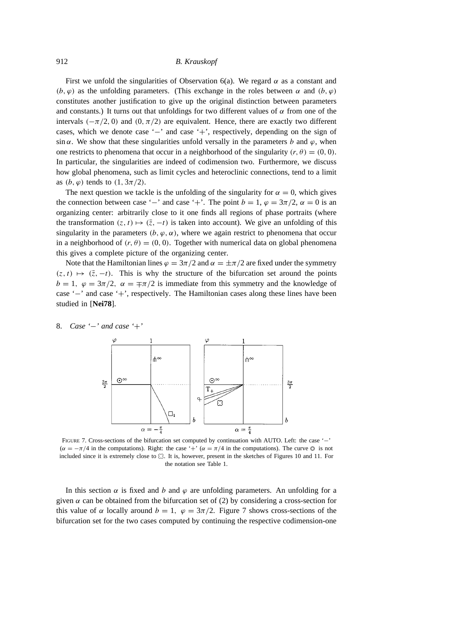First we unfold the singularities of Observation 6(a). We regard  $\alpha$  as a constant and  $(b, \varphi)$  as the unfolding parameters. (This exchange in the roles between  $\alpha$  and  $(b, \varphi)$ ) constitutes another justification to give up the original distinction between parameters and constants.) It turns out that unfoldings for two different values of  $\alpha$  from one of the intervals ( $-\pi/2$ , 0) and (0,  $\pi/2$ ) are equivalent. Hence, there are exactly two different cases, which we denote case '−' and case '+', respectively, depending on the sign of sin  $\alpha$ . We show that these singularities unfold versally in the parameters b and  $\varphi$ , when one restricts to phenomena that occur in a neighborhood of the singularity  $(r, \theta) = (0, 0)$ . In particular, the singularities are indeed of codimension two. Furthermore, we discuss how global phenomena, such as limit cycles and heteroclinic connections, tend to a limit as  $(b, \varphi)$  tends to  $(1, 3\pi/2)$ .

The next question we tackle is the unfolding of the singularity for  $\alpha = 0$ , which gives the connection between case '−' and case '+'. The point  $b = 1$ ,  $\varphi = 3\pi/2$ ,  $\alpha = 0$  is an organizing center: arbitrarily close to it one finds all regions of phase portraits (where the transformation  $(z, t) \mapsto (\bar{z}, -t)$  is taken into account). We give an unfolding of this singularity in the parameters  $(b, \varphi, \alpha)$ , where we again restrict to phenomena that occur in a neighborhood of  $(r, \theta) = (0, 0)$ . Together with numerical data on global phenomena this gives a complete picture of the organizing center.

Note that the Hamiltonian lines  $\varphi = 3\pi/2$  and  $\alpha = \pm \pi/2$  are fixed under the symmetry  $(z, t) \mapsto (\bar{z}, -t)$ . This is why the structure of the bifurcation set around the points  $b = 1$ ,  $\varphi = 3\pi/2$ ,  $\alpha = \pm \pi/2$  is immediate from this symmetry and the knowledge of case '−' and case '+', respectively. The Hamiltonian cases along these lines have been studied in [**Nei78**].

## 8. *Case '*−*' and case '*+*'*



FIGURE 7. Cross-sections of the bifurcation set computed by continuation with AUTO. Left: the case '−'  $(\alpha = -\pi/4$  in the computations). Right: the case '+'  $(\alpha = \pi/4$  in the computations). The curve  $\odot$  is not included since it is extremely close to  $\heartsuit$ . It is, however, present in the sketches of Figures 10 and 11. For the notation see Table 1.

In this section  $\alpha$  is fixed and b and  $\varphi$  are unfolding parameters. An unfolding for a given  $\alpha$  can be obtained from the bifurcation set of (2) by considering a cross-section for this value of  $\alpha$  locally around  $b = 1$ ,  $\varphi = 3\pi/2$ . Figure 7 shows cross-sections of the bifurcation set for the two cases computed by continuing the respective codimension-one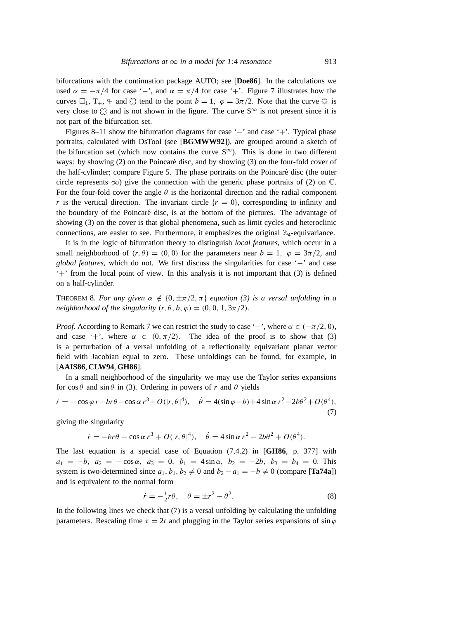bifurcations with the continuation package AUTO; see [**Doe86**]. In the calculations we used  $\alpha = -\pi/4$  for case '–', and  $\alpha = \pi/4$  for case '+'. Figure 7 illustrates how the curves  $\Box_1$ ,  $T_+$ ,  $\div$  and  $\Box$  tend to the point  $b = 1$ ,  $\varphi = 3\pi/2$ . Note that the curve  $\odot$  is very close to  $\Omega$  and is not shown in the figure. The curve  $S^{\infty}$  is not present since it is not part of the bifurcation set.

Figures 8–11 show the bifurcation diagrams for case '−' and case '+'. Typical phase portraits, calculated with DsTool (see [**BGMWW92**]), are grouped around a sketch of the bifurcation set (which now contains the curve  $S^{\infty}$ ). This is done in two different ways: by showing  $(2)$  on the Poincaré disc, and by showing  $(3)$  on the four-fold cover of the half-cylinder; compare Figure 5. The phase portraits on the Poincaré disc (the outer circle represents  $\infty$ ) give the connection with the generic phase portraits of (2) on  $\mathbb{C}$ . For the four-fold cover the angle  $\theta$  is the horizontal direction and the radial component r is the vertical direction. The invariant circle  $\{r = 0\}$ , corresponding to infinity and the boundary of the Poincaré disc, is at the bottom of the pictures. The advantage of showing (3) on the cover is that global phenomena, such as limit cycles and heteroclinic connections, are easier to see. Furthermore, it emphasizes the original  $\mathbb{Z}_4$ -equivariance.

It is in the logic of bifurcation theory to distinguish *local features*, which occur in a small neighborhood of  $(r, \theta) = (0, 0)$  for the parameters near  $b = 1$ ,  $\varphi = 3\pi/2$ , and *global features*, which do not. We first discuss the singularities for case '−' and case '+' from the local point of view. In this analysis it is not important that (3) is defined on a half-cylinder.

THEOREM 8. For any given  $\alpha \notin \{0, \pm \pi/2, \pi\}$  equation (3) is a versal unfolding in a *neighborhood of the singularity*  $(r, \theta, b, \varphi) = (0, 0, 1, 3\pi/2)$ *.* 

*Proof.* According to Remark 7 we can restrict the study to case ' $-$ ', where  $\alpha \in (-\pi/2, 0)$ , and case '+', where  $\alpha \in (0, \pi/2)$ . The idea of the proof is to show that (3) is a perturbation of a versal unfolding of a reflectionally equivariant planar vector field with Jacobian equal to zero. These unfoldings can be found, for example, in [**AAIS86**, **CLW94**, **GH86**].

In a small neighborhood of the singularity we may use the Taylor series expansions for  $\cos \theta$  and  $\sin \theta$  in (3). Ordering in powers of r and  $\theta$  yields

$$
\dot{r} = -\cos\varphi \, r - br\theta - \cos\alpha \, r^3 + O(|r, \theta|^4), \quad \dot{\theta} = 4(\sin\varphi + b) + 4\sin\alpha \, r^2 - 2b\theta^2 + O(\theta^4),\tag{7}
$$

giving the singularity

$$
\dot{r} = -br\theta - \cos\alpha r^3 + O(|r, \theta|^4), \quad \dot{\theta} = 4\sin\alpha r^2 - 2b\theta^2 + O(\theta^4).
$$

The last equation is a special case of Equation (7.4.2) in [**GH86**, p. 377] with  $a_1 = -b$ ,  $a_2 = -\cos \alpha$ ,  $a_3 = 0$ ,  $b_1 = 4 \sin \alpha$ ,  $b_2 = -2b$ ,  $b_3 = b_4 = 0$ . This system is two-determined since  $a_1, b_1, b_2 \neq 0$  and  $b_2 - a_1 = -b \neq 0$  (compare [**Ta74a**]) and is equivalent to the normal form

$$
\dot{r} = -\frac{1}{2}r\theta, \quad \dot{\theta} = \pm r^2 - \theta^2. \tag{8}
$$

In the following lines we check that  $(7)$  is a versal unfolding by calculating the unfolding parameters. Rescaling time  $\tau = 2t$  and plugging in the Taylor series expansions of sin  $\varphi$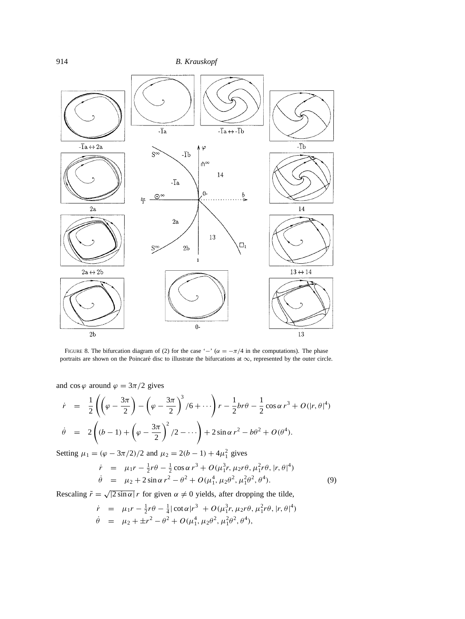

FIGURE 8. The bifurcation diagram of (2) for the case ' $-$ ' ( $\alpha = -\pi/4$  in the computations). The phase portraits are shown on the Poincaré disc to illustrate the bifurcations at  $\infty$ , represented by the outer circle.

and cos  $\varphi$  around  $\varphi = 3\pi/2$  gives

$$
\dot{r} = \frac{1}{2} \left( \left( \varphi - \frac{3\pi}{2} \right) - \left( \varphi - \frac{3\pi}{2} \right)^3 / 6 + \cdots \right) r - \frac{1}{2} b r \theta - \frac{1}{2} \cos \alpha r^3 + O(|r, \theta|^4)
$$
  

$$
\dot{\theta} = 2 \left( (b - 1) + \left( \varphi - \frac{3\pi}{2} \right)^2 / 2 - \cdots \right) + 2 \sin \alpha r^2 - b \theta^2 + O(\theta^4).
$$

Setting  $\mu_1 = (\varphi - 3\pi/2)/2$  and  $\mu_2 = 2(b - 1) + 4\mu_1^2$  gives

$$
\dot{r} = \mu_1 r - \frac{1}{2} r \theta - \frac{1}{2} \cos \alpha r^3 + O(\mu_1^3 r, \mu_2 r \theta, \mu_1^2 r \theta, |r, \theta|^4) \n\dot{\theta} = \mu_2 + 2 \sin \alpha r^2 - \theta^2 + O(\mu_1^4, \mu_2 \theta^2, \mu_1^2 \theta^2, \theta^4).
$$
\n(9)

Rescaling  $\tilde{r} = \sqrt{|2 \sin \alpha|} r$  for given  $\alpha \neq 0$  yields, after dropping the tilde,

$$
\dot{r} = \mu_1 r - \frac{1}{2} r \theta - \frac{1}{4} |\cot \alpha| r^3 + O(\mu_1^3 r, \mu_2 r \theta, \mu_1^2 r \theta, |r, \theta|^4)
$$
  

$$
\dot{\theta} = \mu_2 + \pm r^2 - \theta^2 + O(\mu_1^4, \mu_2 \theta^2, \mu_1^2 \theta^2, \theta^4),
$$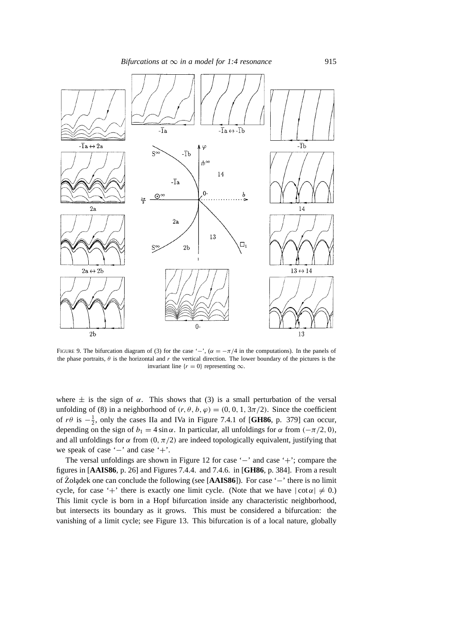*Bifurcations at*  $\infty$  *in a model for 1:4 resonance* 915



FIGURE 9. The bifurcation diagram of (3) for the case '−',  $(\alpha = -\pi/4$  in the computations). In the panels of the phase portraits,  $\theta$  is the horizontal and r the vertical direction. The lower boundary of the pictures is the invariant line  $\{r = 0\}$  representing  $\infty$ .

where  $\pm$  is the sign of  $\alpha$ . This shows that (3) is a small perturbation of the versal unfolding of (8) in a neighborhood of  $(r, \theta, b, \varphi) = (0, 0, 1, 3\pi/2)$ . Since the coefficient of  $r\theta$  is  $-\frac{1}{2}$ , only the cases IIa and IVa in Figure 7.4.1 of [GH86, p. 379] can occur, depending on the sign of  $b_1 = 4 \sin \alpha$ . In particular, all unfoldings for  $\alpha$  from  $(-\pi/2, 0)$ , and all unfoldings for  $\alpha$  from  $(0, \pi/2)$  are indeed topologically equivalent, justifying that we speak of case '−' and case '+'.

The versal unfoldings are shown in Figure 12 for case '−' and case '+'; compare the figures in [**AAIS86**, p. 26] and Figures 7.4.4. and 7.4.6. in [**GH86**, p. 384]. From a result of Żołądek one can conclude the following (see [AAIS86]). For case '−' there is no limit cycle, for case '+' there is exactly one limit cycle. (Note that we have  $|\cot \alpha| \neq 0$ .) This limit cycle is born in a Hopf bifurcation inside any characteristic neighborhood, but intersects its boundary as it grows. This must be considered a bifurcation: the vanishing of a limit cycle; see Figure 13. This bifurcation is of a local nature, globally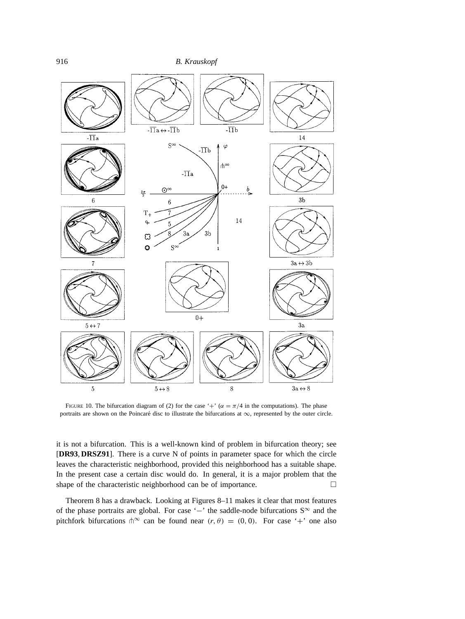

FIGURE 10. The bifurcation diagram of (2) for the case '+' ( $\alpha = \pi/4$  in the computations). The phase portraits are shown on the Poincaré disc to illustrate the bifurcations at  $\infty$ , represented by the outer circle.

it is not a bifurcation. This is a well-known kind of problem in bifurcation theory; see [**DR93**, **DRSZ91**]. There is a curve N of points in parameter space for which the circle leaves the characteristic neighborhood, provided this neighborhood has a suitable shape. In the present case a certain disc would do. In general, it is a major problem that the shape of the characteristic neighborhood can be of importance.

Theorem 8 has a drawback. Looking at Figures 8–11 makes it clear that most features of the phase portraits are global. For case '−' the saddle-node bifurcations S<sup>∞</sup> and the pitchfork bifurcations  $\ln^{\infty}$  can be found near  $(r, \theta) = (0, 0)$ . For case '+' one also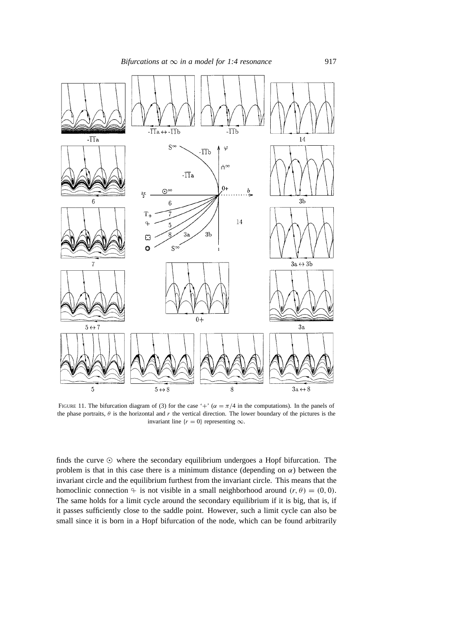

FIGURE 11. The bifurcation diagram of (3) for the case '+' ( $\alpha = \pi/4$  in the computations). In the panels of the phase portraits,  $\theta$  is the horizontal and r the vertical direction. The lower boundary of the pictures is the invariant line { $r = 0$ } representing ∞.

finds the curve  $\odot$  where the secondary equilibrium undergoes a Hopf bifurcation. The problem is that in this case there is a minimum distance (depending on  $\alpha$ ) between the invariant circle and the equilibrium furthest from the invariant circle. This means that the homoclinic connection  $\varphi$  is not visible in a small neighborhood around  $(r, \theta) = (0, 0)$ . The same holds for a limit cycle around the secondary equilibrium if it is big, that is, if it passes sufficiently close to the saddle point. However, such a limit cycle can also be small since it is born in a Hopf bifurcation of the node, which can be found arbitrarily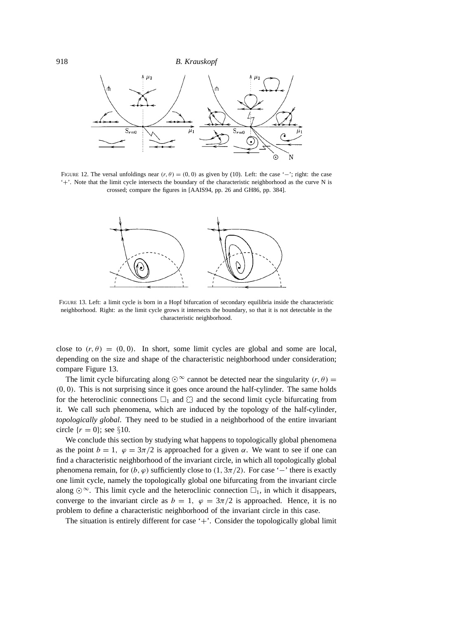

FIGURE 12. The versal unfoldings near  $(r, \theta) = (0, 0)$  as given by (10). Left: the case '−'; right: the case '+'. Note that the limit cycle intersects the boundary of the characteristic neighborhood as the curve N is crossed; compare the figures in [AAIS94, pp. 26 and GH86, pp. 384].



FIGURE 13. Left: a limit cycle is born in a Hopf bifurcation of secondary equilibria inside the characteristic neighborhood. Right: as the limit cycle grows it intersects the boundary, so that it is not detectable in the characteristic neighborhood.

close to  $(r, \theta) = (0, 0)$ . In short, some limit cycles are global and some are local, depending on the size and shape of the characteristic neighborhood under consideration; compare Figure 13.

The limit cycle bifurcating along  $\odot^{\infty}$  cannot be detected near the singularity  $(r, \theta)$  = (0, 0). This is not surprising since it goes once around the half-cylinder. The same holds for the heteroclinic connections  $\Box_1$  and  $\Box$  and the second limit cycle bifurcating from it. We call such phenomena, which are induced by the topology of the half-cylinder, *topologically global*. They need to be studied in a neighborhood of the entire invariant circle  $\{r = 0\}$ ; see §10.

We conclude this section by studying what happens to topologically global phenomena as the point  $b = 1$ ,  $\varphi = 3\pi/2$  is approached for a given  $\alpha$ . We want to see if one can find a characteristic neighborhood of the invariant circle, in which all topologically global phenomena remain, for  $(b, \varphi)$  sufficiently close to  $(1, 3\pi/2)$ . For case '−' there is exactly one limit cycle, namely the topologically global one bifurcating from the invariant circle along  $\odot^{\infty}$ . This limit cycle and the heteroclinic connection  $\square_1$ , in which it disappears, converge to the invariant circle as  $b = 1$ ,  $\varphi = 3\pi/2$  is approached. Hence, it is no problem to define a characteristic neighborhood of the invariant circle in this case.

The situation is entirely different for case  $+$ . Consider the topologically global limit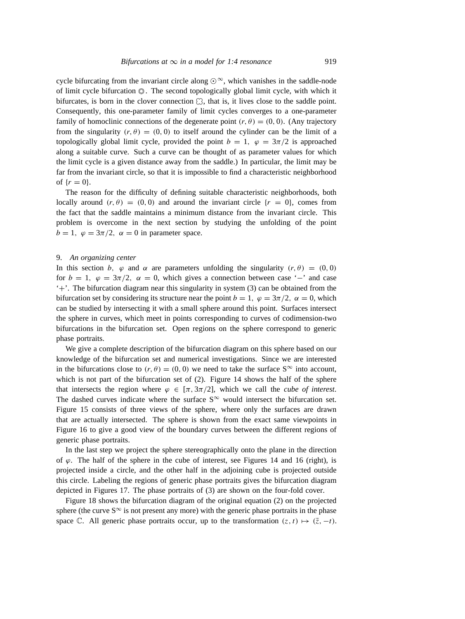cycle bifurcating from the invariant circle along  $\odot^{\infty}$ , which vanishes in the saddle-node of limit cycle bifurcation  $\circled{0}$ . The second topologically global limit cycle, with which it bifurcates, is born in the clover connection  $\mathbb{C}$ , that is, it lives close to the saddle point. Consequently, this one-parameter family of limit cycles converges to a one-parameter family of homoclinic connections of the degenerate point  $(r, \theta) = (0, 0)$ . (Any trajectory from the singularity  $(r, \theta) = (0, 0)$  to itself around the cylinder can be the limit of a topologically global limit cycle, provided the point  $b = 1$ ,  $\varphi = 3\pi/2$  is approached along a suitable curve. Such a curve can be thought of as parameter values for which the limit cycle is a given distance away from the saddle.) In particular, the limit may be far from the invariant circle, so that it is impossible to find a characteristic neighborhood of  $\{r = 0\}$ .

The reason for the difficulty of defining suitable characteristic neighborhoods, both locally around  $(r, \theta) = (0, 0)$  and around the invariant circle  $\{r = 0\}$ , comes from the fact that the saddle maintains a minimum distance from the invariant circle. This problem is overcome in the next section by studying the unfolding of the point  $b = 1$ ,  $\varphi = 3\pi/2$ ,  $\alpha = 0$  in parameter space.

#### 9. *An organizing center*

In this section b,  $\varphi$  and  $\alpha$  are parameters unfolding the singularity  $(r, \theta) = (0, 0)$ for  $b = 1$ ,  $\varphi = 3\pi/2$ ,  $\alpha = 0$ , which gives a connection between case '−' and case '+'. The bifurcation diagram near this singularity in system (3) can be obtained from the bifurcation set by considering its structure near the point  $b = 1$ ,  $\varphi = 3\pi/2$ ,  $\alpha = 0$ , which can be studied by intersecting it with a small sphere around this point. Surfaces intersect the sphere in curves, which meet in points corresponding to curves of codimension-two bifurcations in the bifurcation set. Open regions on the sphere correspond to generic phase portraits.

We give a complete description of the bifurcation diagram on this sphere based on our knowledge of the bifurcation set and numerical investigations. Since we are interested in the bifurcations close to  $(r, \theta) = (0, 0)$  we need to take the surface S<sup>∞</sup> into account, which is not part of the bifurcation set of (2). Figure 14 shows the half of the sphere that intersects the region where  $\varphi \in [\pi, 3\pi/2]$ , which we call the *cube of interest*. The dashed curves indicate where the surface  $S^{\infty}$  would intersect the bifurcation set. Figure 15 consists of three views of the sphere, where only the surfaces are drawn that are actually intersected. The sphere is shown from the exact same viewpoints in Figure 16 to give a good view of the boundary curves between the different regions of generic phase portraits.

In the last step we project the sphere stereographically onto the plane in the direction of  $\varphi$ . The half of the sphere in the cube of interest, see Figures 14 and 16 (right), is projected inside a circle, and the other half in the adjoining cube is projected outside this circle. Labeling the regions of generic phase portraits gives the bifurcation diagram depicted in Figures 17. The phase portraits of (3) are shown on the four-fold cover.

Figure 18 shows the bifurcation diagram of the original equation (2) on the projected sphere (the curve  $S^{\infty}$  is not present any more) with the generic phase portraits in the phase space C. All generic phase portraits occur, up to the transformation  $(z, t) \mapsto (\bar{z}, -t)$ .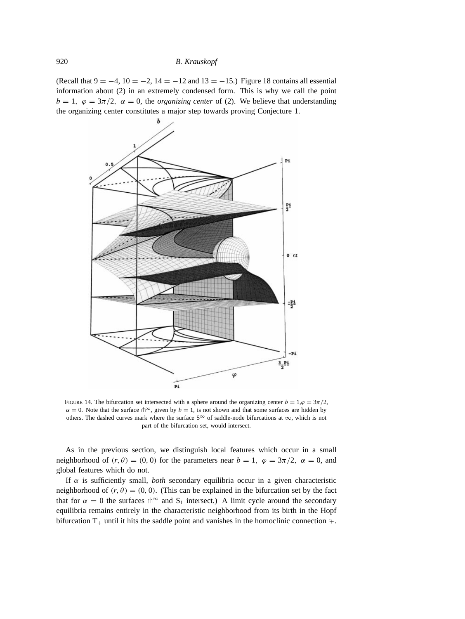(Recall that  $9 = -4$ ,  $10 = -2$ ,  $14 = -12$  and  $13 = -15$ .) Figure 18 contains all essential information about (2) in an extremely condensed form. This is why we call the point  $b = 1$ ,  $\varphi = 3\pi/2$ ,  $\alpha = 0$ , the *organizing center* of (2). We believe that understanding the organizing center constitutes a major step towards proving Conjecture 1.



FIGURE 14. The bifurcation set intersected with a sphere around the organizing center  $b = 1, \varphi = 3\pi/2$ ,  $\alpha = 0$ . Note that the surface  $\phi^{\infty}$ , given by  $b = 1$ , is not shown and that some surfaces are hidden by others. The dashed curves mark where the surface S<sup>∞</sup> of saddle-node bifurcations at  $\infty$ , which is not part of the bifurcation set, would intersect.

As in the previous section, we distinguish local features which occur in a small neighborhood of  $(r, \theta) = (0, 0)$  for the parameters near  $b = 1$ ,  $\varphi = 3\pi/2$ ,  $\alpha = 0$ , and global features which do not.

If  $\alpha$  is sufficiently small, *both* secondary equilibria occur in a given characteristic neighborhood of  $(r, \theta) = (0, 0)$ . (This can be explained in the bifurcation set by the fact that for  $\alpha = 0$  the surfaces  $\phi^{\infty}$  and  $S_1$  intersect.) A limit cycle around the secondary equilibria remains entirely in the characteristic neighborhood from its birth in the Hopf bifurcation  $T_+$  until it hits the saddle point and vanishes in the homoclinic connection  $\varphi$ .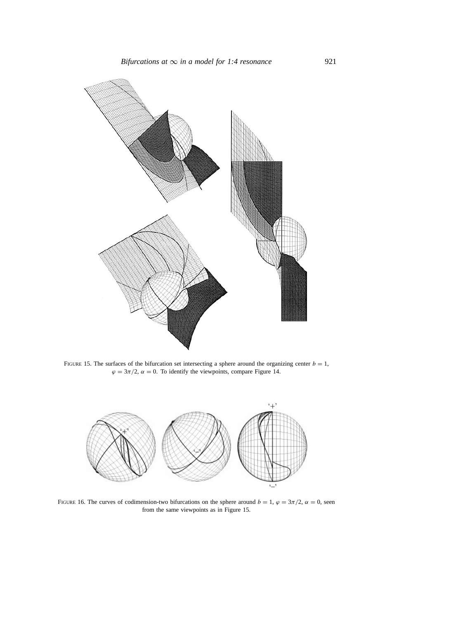

FIGURE 15. The surfaces of the bifurcation set intersecting a sphere around the organizing center  $b = 1$ ,  $\varphi = 3\pi/2$ ,  $\alpha = 0$ . To identify the viewpoints, compare Figure 14.



FIGURE 16. The curves of codimension-two bifurcations on the sphere around  $b = 1$ ,  $\varphi = 3\pi/2$ ,  $\alpha = 0$ , seen from the same viewpoints as in Figure 15.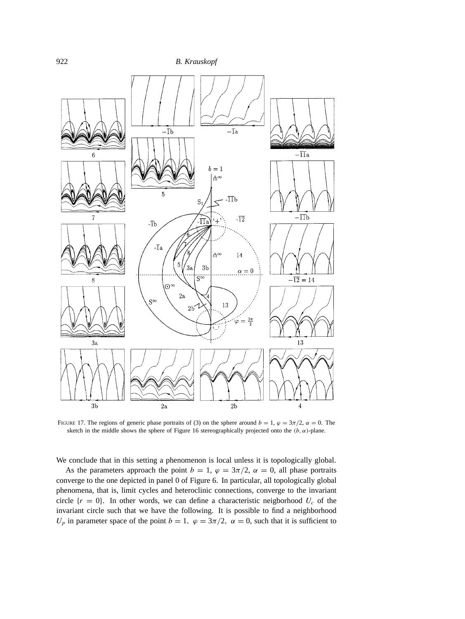

FIGURE 17. The regions of generic phase portraits of (3) on the sphere around  $b = 1$ ,  $\varphi = 3\pi/2$ ,  $\alpha = 0$ . The sketch in the middle shows the sphere of Figure 16 stereographically projected onto the  $(b, \alpha)$ -plane.

We conclude that in this setting a phenomenon is local unless it is topologically global.

As the parameters approach the point  $b = 1$ ,  $\varphi = 3\pi/2$ ,  $\alpha = 0$ , all phase portraits converge to the one depicted in panel 0 of Figure 6. In particular, all topologically global phenomena, that is, limit cycles and heteroclinic connections, converge to the invariant circle  $\{r = 0\}$ . In other words, we can define a characteristic neigborhood  $U_c$  of the invariant circle such that we have the following. It is possible to find a neighborhood  $U_p$  in parameter space of the point  $b = 1$ ,  $\varphi = 3\pi/2$ ,  $\alpha = 0$ , such that it is sufficient to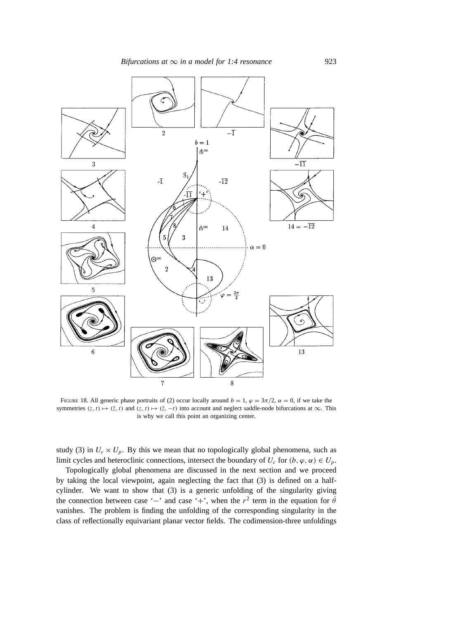

FIGURE 18. All generic phase portraits of (2) occur locally around  $b = 1$ ,  $\varphi = 3\pi/2$ ,  $\alpha = 0$ , if we take the symmetries  $(z, t) \mapsto (\bar{z}, t)$  and  $(z, t) \mapsto (\bar{z}, -t)$  into account and neglect saddle-node bifurcations at  $\infty$ . This is why we call this point an organizing center.

study (3) in  $U_c \times U_p$ . By this we mean that no topologically global phenomena, such as limit cycles and heteroclinic connections, intersect the boundary of  $U_c$  for  $(b, \varphi, \alpha) \in U_p$ .

Topologically global phenomena are discussed in the next section and we proceed by taking the local viewpoint, again neglecting the fact that (3) is defined on a halfcylinder. We want to show that (3) is a generic unfolding of the singularity giving the connection between case '−' and case '+', when the  $r^2$  term in the equation for  $\dot{\theta}$ vanishes. The problem is finding the unfolding of the corresponding singularity in the class of reflectionally equivariant planar vector fields. The codimension-three unfoldings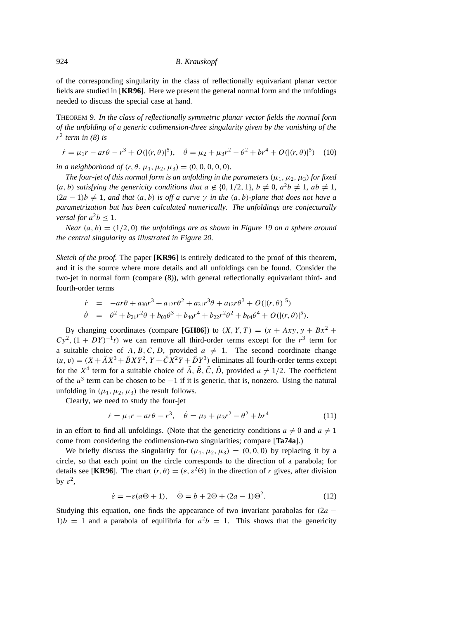of the corresponding singularity in the class of reflectionally equivariant planar vector fields are studied in [**KR96**]. Here we present the general normal form and the unfoldings needed to discuss the special case at hand.

THEOREM 9. *In the class of reflectionally symmetric planar vector fields the normal form of the unfolding of a generic codimension-three singularity given by the vanishing of the*  $r^2$  *term in (8) is* 

 $\dot{r} = \mu_1 r - ar\theta - r^3 + O(|(r, \theta)|^5), \quad \dot{\theta} = \mu_2 + \mu_3 r^2 - \theta^2 + br^4 + O(|(r, \theta)|^5)$  (10)

*in a neighborhood of*  $(r, \theta, \mu_1, \mu_2, \mu_3) = (0, 0, 0, 0, 0)$ *.* 

*The four-jet of this normal form is an unfolding in the parameters* ( $\mu_1, \mu_2, \mu_3$ ) *for fixed*  $(a, b)$  *satisfying the genericity conditions that*  $a \notin \{0, 1/2, 1\}$ ,  $b \neq 0$ ,  $a^2b \neq 1$ ,  $ab \neq 1$ ,  $(2a - 1)b \neq 1$ , and that  $(a, b)$  is off a curve  $\gamma$  in the  $(a, b)$ -plane that does not have a *parametrization but has been calculated numerically. The unfoldings are conjecturally versal for*  $a^2b \leq 1$ .

*Near*  $(a, b) = (1/2, 0)$  *the unfoldings are as shown in Figure 19 on a sphere around the central singularity as illustrated in Figure 20.*

*Sketch of the proof.* The paper [**KR96**] is entirely dedicated to the proof of this theorem, and it is the source where more details and all unfoldings can be found. Consider the two-jet in normal form (compare (8)), with general reflectionally equivariant third- and fourth-order terms

$$
\dot{r} = -ar\theta + a_{30}r^{3} + a_{12}r\theta^{2} + a_{31}r^{3}\theta + a_{13}r\theta^{3} + O(|(r, \theta)|^{5})
$$
  
\n
$$
\dot{\theta} = \theta^{2} + b_{21}r^{2}\theta + b_{03}\theta^{3} + b_{40}r^{4} + b_{22}r^{2}\theta^{2} + b_{04}\theta^{4} + O(|(r, \theta)|^{5}).
$$

By changing coordinates (compare [GH86]) to  $(X, Y, T) = (x + Axy, y + Bx^2 + Bx^2)$  $CV^2$ ,  $(1 + DY)^{-1}t$  we can remove all third-order terms except for the r<sup>3</sup> term for a suitable choice of A, B, C, D, provided  $a \neq 1$ . The second coordinate change  $(u, v) = (X + \tilde{A}X^3 + \tilde{B}XY^2, Y + \tilde{C}X^2Y + \tilde{D}Y^3)$  eliminates all fourth-order terms except for the  $X^4$  term for a suitable choice of  $\tilde{A}$ ,  $\tilde{B}$ ,  $\tilde{C}$ ,  $\tilde{D}$ , provided  $a \neq 1/2$ . The coefficient of the  $u^3$  term can be chosen to be −1 if it is generic, that is, nonzero. Using the natural unfolding in  $(\mu_1, \mu_2, \mu_3)$  the result follows.

Clearly, we need to study the four-jet

$$
\dot{r} = \mu_1 r - ar\theta - r^3, \quad \dot{\theta} = \mu_2 + \mu_3 r^2 - \theta^2 + br^4 \tag{11}
$$

in an effort to find all unfoldings. (Note that the genericity conditions  $a \neq 0$  and  $a \neq 1$ come from considering the codimension-two singularities; compare [**Ta74a**].)

We briefly discuss the singularity for  $(\mu_1, \mu_2, \mu_3) = (0, 0, 0)$  by replacing it by a circle, so that each point on the circle corresponds to the direction of a parabola; for details see [**KR96**]. The chart  $(r, \theta) = (\varepsilon, \varepsilon^2 \Theta)$  in the direction of r gives, after division by  $\varepsilon^2$ ,

$$
\dot{\varepsilon} = -\varepsilon(a\Theta + 1), \quad \dot{\Theta} = b + 2\Theta + (2a - 1)\Theta^2.
$$
 (12)

Studying this equation, one finds the appearance of two invariant parabolas for  $(2a 1/b = 1$  and a parabola of equilibria for  $a^2b = 1$ . This shows that the genericity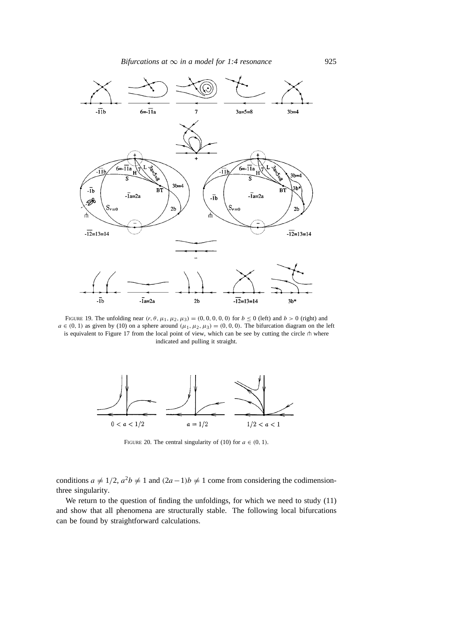

FIGURE 19. The unfolding near  $(r, \theta, \mu_1, \mu_2, \mu_3) = (0, 0, 0, 0, 0)$  for  $b \le 0$  (left) and  $b > 0$  (right) and  $a \in (0, 1)$  as given by (10) on a sphere around  $(\mu_1, \mu_2, \mu_3) = (0, 0, 0)$ . The bifurcation diagram on the left is equivalent to Figure 17 from the local point of view, which can be see by cutting the circle  $\pitchfork$  where indicated and pulling it straight.



FIGURE 20. The central singularity of (10) for  $a \in (0, 1)$ .

conditions  $a \neq 1/2$ ,  $a^2b \neq 1$  and  $(2a-1)b \neq 1$  come from considering the codimensionthree singularity.

We return to the question of finding the unfoldings, for which we need to study (11) and show that all phenomena are structurally stable. The following local bifurcations can be found by straightforward calculations.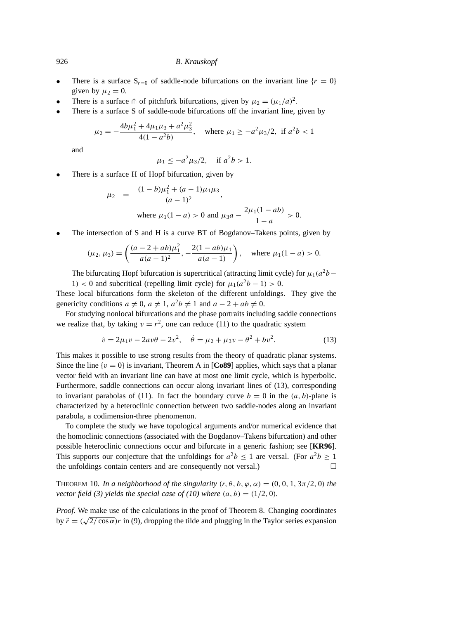- There is a surface  $S_{r=0}$  of saddle-node bifurcations on the invariant line  $\{r=0\}$ given by  $\mu_2 = 0$ .
- There is a surface  $\phi$  of pitchfork bifurcations, given by  $\mu_2 = (\mu_1/a)^2$ .
- There is a surface S of saddle-node bifurcations off the invariant line, given by

$$
\mu_2 = -\frac{4b\mu_1^2 + 4\mu_1\mu_3 + a^2\mu_3^2}{4(1 - a^2b)}, \quad \text{where } \mu_1 \ge -a^2\mu_3/2, \text{ if } a^2b < 1
$$

and

$$
\mu_1 \le -a^2 \mu_3 / 2
$$
, if  $a^2 b > 1$ .

There is a surface H of Hopf bifurcation, given by

$$
\mu_2 = \frac{(1-b)\mu_1^2 + (a-1)\mu_1\mu_3}{(a-1)^2},
$$
  
where  $\mu_1(1-a) > 0$  and  $\mu_3 a - \frac{2\mu_1(1-ab)}{1-a} > 0$ .

• The intersection of S and H is a curve BT of Bogdanov–Takens points, given by

$$
(\mu_2, \mu_3) = \left(\frac{(a-2+ab)\mu_1^2}{a(a-1)^2}, -\frac{2(1-ab)\mu_1}{a(a-1)}\right), \text{ where } \mu_1(1-a) > 0.
$$

The bifurcating Hopf bifurcation is supercritical (attracting limit cycle) for  $\mu_1(a^2b-\mu_2)$ 1) < 0 and subcritical (repelling limit cycle) for  $\mu_1(a^2b - 1) > 0$ .

These local bifurcations form the skeleton of the different unfoldings. They give the genericity conditions  $a \neq 0$ ,  $a \neq 1$ ,  $a^2b \neq 1$  and  $a - 2 + ab \neq 0$ .

For studying nonlocal bifurcations and the phase portraits including saddle connections we realize that, by taking  $v = r^2$ , one can reduce (11) to the quadratic system

$$
\dot{v} = 2\mu_1 v - 2av\theta - 2v^2, \quad \dot{\theta} = \mu_2 + \mu_3 v - \theta^2 + bv^2.
$$
 (13)

This makes it possible to use strong results from the theory of quadratic planar systems. Since the line  $\{v = 0\}$  is invariant, Theorem A in [Co89] applies, which says that a planar vector field with an invariant line can have at most one limit cycle, which is hyperbolic. Furthermore, saddle connections can occur along invariant lines of (13), corresponding to invariant parabolas of (11). In fact the boundary curve  $b = 0$  in the  $(a, b)$ -plane is characterized by a heteroclinic connection between two saddle-nodes along an invariant parabola, a codimension-three phenomenon.

To complete the study we have topological arguments and/or numerical evidence that the homoclinic connections (associated with the Bogdanov–Takens bifurcation) and other possible heteroclinic connections occur and bifurcate in a generic fashion; see [**KR96**]. This supports our conjecture that the unfoldings for  $a^2b \le 1$  are versal. (For  $a^2b \ge 1$ the unfoldings contain centers and are consequently not versal.)  $\Box$ 

THEOREM 10. *In a neighborhood of the singularity*  $(r, \theta, b, \varphi, \alpha) = (0, 0, 1, 3\pi/2, 0)$  *the vector field (3) yields the special case of (10) where*  $(a, b) = (1/2, 0)$ *.* 

*Proof.* We make use of the calculations in the proof of Theorem 8. Changing coordinates by  $\tilde{r} = (\sqrt{2}/\cos \alpha)r$  in (9), dropping the tilde and plugging in the Taylor series expansion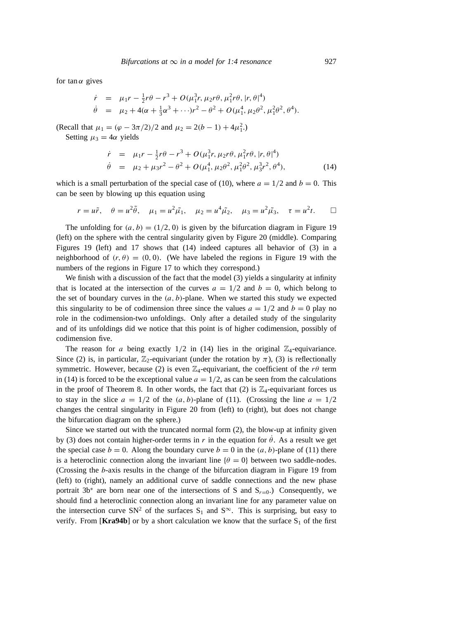for tan $\alpha$  gives

$$
\dot{r} = \mu_1 r - \frac{1}{2} r \theta - r^3 + O(\mu_1^3 r, \mu_2 r \theta, \mu_1^2 r \theta, |r, \theta|^4) \n\dot{\theta} = \mu_2 + 4(\alpha + \frac{1}{3}\alpha^3 + \cdots)r^2 - \theta^2 + O(\mu_1^4, \mu_2 \theta^2, \mu_1^2 \theta^2, \theta^4).
$$

(Recall that  $\mu_1 = (\varphi - 3\pi/2)/2$  and  $\mu_2 = 2(b - 1) + 4\mu_1^2$ .)

Setting  $\mu_3 = 4\alpha$  yields

$$
\dot{r} = \mu_1 r - \frac{1}{2} r \theta - r^3 + O(\mu_1^3 r, \mu_2 r \theta, \mu_1^2 r \theta, |r, \theta|^4) \n\dot{\theta} = \mu_2 + \mu_3 r^2 - \theta^2 + O(\mu_1^4, \mu_2 \theta^2, \mu_1^3 \theta^2, \mu_3^3 r^2, \theta^4),
$$
\n(14)

which is a small perturbation of the special case of (10), where  $a = 1/2$  and  $b = 0$ . This can be seen by blowing up this equation using

$$
r = u\tilde{r}
$$
,  $\theta = u^2\tilde{\theta}$ ,  $\mu_1 = u^2\tilde{\mu_1}$ ,  $\mu_2 = u^4\tilde{\mu_2}$ ,  $\mu_3 = u^2\tilde{\mu_3}$ ,  $\tau = u^2t$ .  $\square$ 

The unfolding for  $(a, b) = (1/2, 0)$  is given by the bifurcation diagram in Figure 19 (left) on the sphere with the central singularity given by Figure 20 (middle). Comparing Figures 19 (left) and 17 shows that (14) indeed captures all behavior of (3) in a neighborhood of  $(r, \theta) = (0, 0)$ . (We have labeled the regions in Figure 19 with the numbers of the regions in Figure 17 to which they correspond.)

We finish with a discussion of the fact that the model (3) yields a singularity at infinity that is located at the intersection of the curves  $a = 1/2$  and  $b = 0$ , which belong to the set of boundary curves in the  $(a, b)$ -plane. When we started this study we expected this singularity to be of codimension three since the values  $a = 1/2$  and  $b = 0$  play no role in the codimension-two unfoldings. Only after a detailed study of the singularity and of its unfoldings did we notice that this point is of higher codimension, possibly of codimension five.

The reason for a being exactly  $1/2$  in (14) lies in the original  $\mathbb{Z}_4$ -equivariance. Since (2) is, in particular,  $\mathbb{Z}_2$ -equivariant (under the rotation by  $\pi$ ), (3) is reflectionally symmetric. However, because (2) is even  $\mathbb{Z}_4$ -equivariant, the coefficient of the r $\theta$  term in (14) is forced to be the exceptional value  $a = 1/2$ , as can be seen from the calculations in the proof of Theorem 8. In other words, the fact that (2) is  $\mathbb{Z}_4$ -equivariant forces us to stay in the slice  $a = 1/2$  of the  $(a, b)$ -plane of (11). (Crossing the line  $a = 1/2$ changes the central singularity in Figure 20 from (left) to (right), but does not change the bifurcation diagram on the sphere.)

Since we started out with the truncated normal form (2), the blow-up at infinity given by (3) does not contain higher-order terms in r in the equation for  $\theta$ . As a result we get the special case  $b = 0$ . Along the boundary curve  $b = 0$  in the  $(a, b)$ -plane of (11) there is a heteroclinic connection along the invariant line  $\{\theta = 0\}$  between two saddle-nodes. (Crossing the b-axis results in the change of the bifurcation diagram in Figure 19 from (left) to (right), namely an additional curve of saddle connections and the new phase portrait 3b<sup>\*</sup> are born near one of the intersections of S and  $S_{r=0}$ .) Consequently, we should find a heteroclinic connection along an invariant line for any parameter value on the intersection curve SN<sup>2</sup> of the surfaces S<sub>1</sub> and S<sup>∞</sup>. This is surprising, but easy to verify. From  $\text{[Kra94b]}$  or by a short calculation we know that the surface  $S_1$  of the first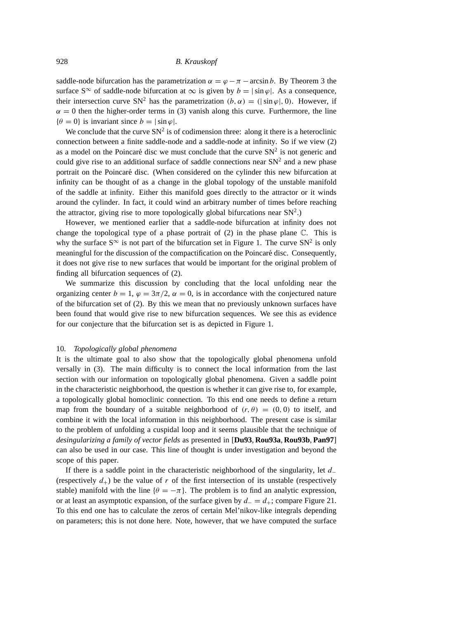saddle-node bifurcation has the parametrization  $\alpha = \varphi - \pi$  – arcsin b. By Theorem 3 the surface S<sup>∞</sup> of saddle-node bifurcation at  $\infty$  is given by  $b = |\sin \varphi|$ . As a consequence, their intersection curve SN<sup>2</sup> has the parametrization  $(b, \alpha) = (|\sin \varphi|, 0)$ . However, if  $\alpha = 0$  then the higher-order terms in (3) vanish along this curve. Furthermore, the line  $\{\theta = 0\}$  is invariant since  $b = |\sin \varphi|$ .

We conclude that the curve  $SN^2$  is of codimension three: along it there is a heteroclinic connection between a finite saddle-node and a saddle-node at infinity. So if we view (2) as a model on the Poincaré disc we must conclude that the curve  $SN^2$  is not generic and could give rise to an additional surface of saddle connections near  $SN<sup>2</sup>$  and a new phase portrait on the Poincaré disc. (When considered on the cylinder this new bifurcation at infinity can be thought of as a change in the global topology of the unstable manifold of the saddle at infinity. Either this manifold goes directly to the attractor or it winds around the cylinder. In fact, it could wind an arbitrary number of times before reaching the attractor, giving rise to more topologically global bifurcations near  $SN<sup>2</sup>$ .)

However, we mentioned earlier that a saddle-node bifurcation at infinity does not change the topological type of a phase portrait of  $(2)$  in the phase plane  $\mathbb{C}$ . This is why the surface  $S^{\infty}$  is not part of the bifurcation set in Figure 1. The curve  $SN^2$  is only meaningful for the discussion of the compactification on the Poincaré disc. Consequently, it does not give rise to new surfaces that would be important for the original problem of finding all bifurcation sequences of (2).

We summarize this discussion by concluding that the local unfolding near the organizing center  $b = 1$ ,  $\varphi = 3\pi/2$ ,  $\alpha = 0$ , is in accordance with the conjectured nature of the bifurcation set of (2). By this we mean that no previously unknown surfaces have been found that would give rise to new bifurcation sequences. We see this as evidence for our conjecture that the bifurcation set is as depicted in Figure 1.

#### 10. *Topologically global phenomena*

It is the ultimate goal to also show that the topologically global phenomena unfold versally in (3). The main difficulty is to connect the local information from the last section with our information on topologically global phenomena. Given a saddle point in the characteristic neighborhood, the question is whether it can give rise to, for example, a topologically global homoclinic connection. To this end one needs to define a return map from the boundary of a suitable neighborhood of  $(r, \theta) = (0, 0)$  to itself, and combine it with the local information in this neighborhood. The present case is similar to the problem of unfolding a cuspidal loop and it seems plausible that the technique of *desingularizing a family of vector fields* as presented in [**Du93**, **Rou93a**, **Rou93b**, **Pan97**] can also be used in our case. This line of thought is under investigation and beyond the scope of this paper.

If there is a saddle point in the characteristic neighborhood of the singularity, let d<sup>−</sup> (respectively  $d_+$ ) be the value of r of the first intersection of its unstable (respectively stable) manifold with the line { $\theta = -\pi$ }. The problem is to find an analytic expression, or at least an asymptotic expansion, of the surface given by  $d_-=d_+$ ; compare Figure 21. To this end one has to calculate the zeros of certain Mel'nikov-like integrals depending on parameters; this is not done here. Note, however, that we have computed the surface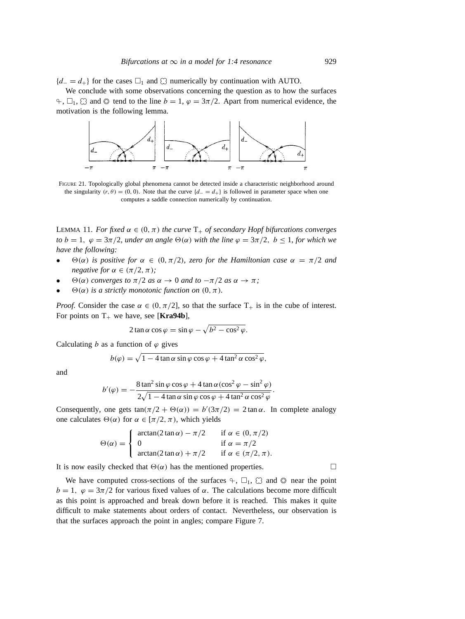${d_-=d_+}$  for the cases  $\square_1$  and  $\square$  numerically by continuation with AUTO.

We conclude with some observations concerning the question as to how the surfaces  $\div$ ,  $\Box_1$ ,  $\Box$  and  $\odot$  tend to the line  $b = 1$ ,  $\varphi = 3\pi/2$ . Apart from numerical evidence, the motivation is the following lemma.



FIGURE 21. Topologically global phenomena cannot be detected inside a characteristic neighborhood around the singularity (r,  $\theta$ ) = (0, 0). Note that the curve { $d_-=d_+$ } is followed in parameter space when one computes a saddle connection numerically by continuation.

LEMMA 11. *For fixed*  $\alpha \in (0, \pi)$  *the curve*  $T_+$  *of secondary Hopf bifurcations converges to*  $b = 1$ ,  $\varphi = 3\pi/2$ , *under an angle*  $\Theta(\alpha)$  *with the line*  $\varphi = 3\pi/2$ ,  $b \le 1$ , *for which we have the following:*

- $\Theta(\alpha)$  *is positive for*  $\alpha \in (0, \pi/2)$ *, zero for the Hamiltonian case*  $\alpha = \pi/2$  *and negative for*  $\alpha \in (\pi/2, \pi)$ *;*
- $\Theta(\alpha)$  *converges to*  $\pi/2$  *as*  $\alpha \rightarrow 0$  *and to*  $-\pi/2$  *as*  $\alpha \rightarrow \pi$ *;*
- $\Theta(\alpha)$  *is a strictly monotonic function on*  $(0, \pi)$ *.*

*Proof.* Consider the case  $\alpha \in (0, \pi/2]$ , so that the surface  $T_+$  is in the cube of interest. For points on  $T_+$  we have, see [**Kra94b**],

$$
2\tan\alpha\cos\varphi=\sin\varphi-\sqrt{b^2-\cos^2\varphi}.
$$

Calculating b as a function of  $\varphi$  gives

$$
b(\varphi) = \sqrt{1 - 4 \tan \alpha \sin \varphi \cos \varphi + 4 \tan^2 \alpha \cos^2 \varphi},
$$

and

$$
b'(\varphi) = -\frac{8\tan^2\sin\varphi\cos\varphi + 4\tan\alpha(\cos^2\varphi - \sin^2\varphi)}{2\sqrt{1 - 4\tan\alpha\sin\varphi\cos\varphi + 4\tan^2\alpha\cos^2\varphi}}.
$$

Consequently, one gets  $tan(\pi/2 + \Theta(\alpha)) = b'(3\pi/2) = 2 tan \alpha$ . In complete analogy one calculates  $\Theta(\alpha)$  for  $\alpha \in [\pi/2, \pi)$ , which yields

$$
\Theta(\alpha) = \begin{cases}\n\arctan(2\tan\alpha) - \pi/2 & \text{if } \alpha \in (0, \pi/2) \\
0 & \text{if } \alpha = \pi/2 \\
\arctan(2\tan\alpha) + \pi/2 & \text{if } \alpha \in (\pi/2, \pi).\n\end{cases}
$$

It is now easily checked that  $\Theta(\alpha)$  has the mentioned properties.

We have computed cross-sections of the surfaces  $\varphi$ ,  $\Box_1$ ,  $\Box$  and  $\odot$  near the point  $b = 1$ ,  $\varphi = 3\pi/2$  for various fixed values of  $\alpha$ . The calculations become more difficult as this point is approached and break down before it is reached. This makes it quite difficult to make statements about orders of contact. Nevertheless, our observation is that the surfaces approach the point in angles; compare Figure 7.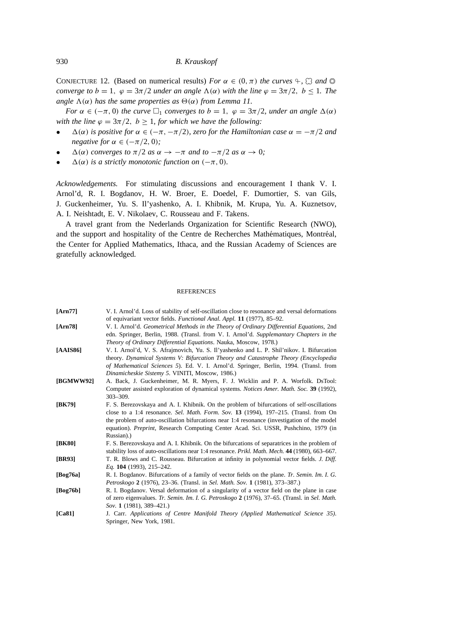CONJECTURE 12. (Based on numerical results) *For*  $\alpha \in (0, \pi)$  *the curves*  $\varphi$ ,  $\varnothing$  *and*  $\varnothing$ *converge to*  $b = 1$ ,  $\varphi = 3\pi/2$  *under an angle*  $\Lambda(\alpha)$  *with the line*  $\varphi = 3\pi/2$ ,  $b \le 1$ *. The angle*  $\Lambda(\alpha)$  *has the same properties as*  $\Theta(\alpha)$  *from Lemma 11.* 

*For*  $\alpha \in (-\pi, 0)$  *the curve*  $\Box_1$  *converges to*  $b = 1$ ,  $\varphi = 3\pi/2$ *, under an angle*  $\Delta(\alpha)$ *with the line*  $\varphi = 3\pi/2$ ,  $b \ge 1$ , for which we have the following:

- $\Delta(\alpha)$  *is positive for*  $\alpha \in (-\pi, -\pi/2)$ *, zero for the Hamiltonian case*  $\alpha = -\pi/2$  *and negative for*  $\alpha \in (-\pi/2, 0)$ *;*
- $\Delta(\alpha)$  *converges to*  $\pi/2$  *as*  $\alpha \rightarrow -\pi$  *and to*  $-\pi/2$  *as*  $\alpha \rightarrow 0$ *;*
- $\Delta(\alpha)$  *is a strictly monotonic function on* ( $-\pi$ , 0).

*Acknowledgements.* For stimulating discussions and encouragement I thank V. I. Arnol'd, R. I. Bogdanov, H. W. Broer, E. Doedel, F. Dumortier, S. van Gils, J. Guckenheimer, Yu. S. Il'yashenko, A. I. Khibnik, M. Krupa, Yu. A. Kuznetsov, A. I. Neishtadt, E. V. Nikolaev, C. Rousseau and F. Takens.

A travel grant from the Nederlands Organization for Scientific Research (NWO), and the support and hospitality of the Centre de Recherches Mathématiques, Montréal, the Center for Applied Mathematics, Ithaca, and the Russian Academy of Sciences are gratefully acknowledged.

#### **REFERENCES**

| [Arn77]   | V. I. Arnol'd. Loss of stability of self-oscillation close to resonance and versal deformations<br>of equivariant vector fields. Functional Anal. Appl. 11 (1977), 85-92.                                                                                                                                                                                                             |
|-----------|---------------------------------------------------------------------------------------------------------------------------------------------------------------------------------------------------------------------------------------------------------------------------------------------------------------------------------------------------------------------------------------|
| [Arn78]   | V. I. Arnol'd. Geometrical Methods in the Theory of Ordinary Differential Equations, 2nd<br>edn. Springer, Berlin, 1988. (Transl. from V. I. Arnol'd. Supplemantary Chapters in the<br>Theory of Ordinary Differential Equations. Nauka, Moscow, 1978.)                                                                                                                               |
| [AAIS86]  | V. I. Arnol'd, V. S. Afrajmovich, Yu. S. Il'yashenko and L. P. Shil'nikov. I. Bifurcation<br>theory. Dynamical Systems V: Bifurcation Theory and Catastrophe Theory (Encyclopedia<br>of Mathematical Sciences 5). Ed. V. I. Arnol'd. Springer, Berlin, 1994. (Transl. from<br>Dinamicheskie Sistemy 5. VINITI, Moscow, 1986.)                                                         |
| [BGMWW92] | A. Back, J. Guckenheimer, M. R. Myers, F. J. Wicklin and P. A. Worfolk. DsTool:<br>Computer assisted exploration of dynamical systems. Notices Amer. Math. Soc. 39 (1992),<br>$303 - 309.$                                                                                                                                                                                            |
| [BK79]    | F. S. Berezovskaya and A. I. Khibnik. On the problem of bifurcations of self-oscillations<br>close to a 1:4 resonance. Sel. Math. Form. Sov. 13 (1994), 197-215. (Transl. from On<br>the problem of auto-oscillation bifurcations near 1:4 resonance (investigation of the model<br>equation). Preprint, Research Computing Center Acad. Sci. USSR, Pushchino, 1979 (in<br>Russian).) |
| [BK80]    | F. S. Berezovskaya and A. I. Khibnik. On the bifurcations of separatrices in the problem of<br>stability loss of auto-oscillations near 1:4 resonance. Prikl. Math. Mech. 44 (1980), 663–667.                                                                                                                                                                                         |
| [BR93]    | T. R. Blows and C. Rousseau. Bifurcation at infinity in polynomial vector fields. J. Diff.<br>Eq. 104 (1993), 215–242.                                                                                                                                                                                                                                                                |
| [Bog76a]  | R. I. Bogdanov. Bifurcations of a family of vector fields on the plane. Tr. Semin. Im. I. G.<br>Petroskogo 2 (1976), 23–36. (Transl. in Sel. Math. Sov. 1 (1981), 373–387.)                                                                                                                                                                                                           |
| [Bog76b]  | R. I. Bogdanov. Versal deformation of a singularity of a vector field on the plane in case<br>of zero eigenvalues. Tr. Semin. Im. I. G. Petroskogo 2 (1976), 37–65. (Transl. in Sel. Math.<br>Sov. 1 (1981), 389–421.)                                                                                                                                                                |
| [Ca81]    | J. Carr. Applications of Centre Manifold Theory (Applied Mathematical Science 35).<br>Springer, New York, 1981.                                                                                                                                                                                                                                                                       |